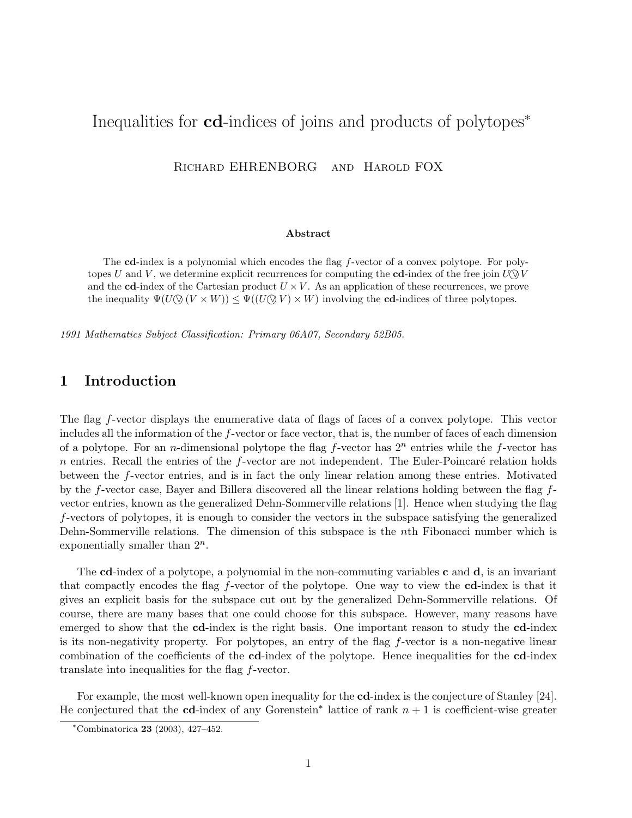# Inequalities for cd-indices of joins and products of polytopes<sup>∗</sup>

Richard EHRENBORG and Harold FOX

#### Abstract

The cd-index is a polynomial which encodes the flag f-vector of a convex polytope. For polytopes U and V, we determine explicit recurrences for computing the cd-index of the free join  $U \odot V$ and the cd-index of the Cartesian product  $U \times V$ . As an application of these recurrences, we prove the inequality  $\Psi(U \otimes (V \times W)) \leq \Psi((U \otimes V) \times W)$  involving the cd-indices of three polytopes.

1991 Mathematics Subject Classification: Primary 06A07, Secondary 52B05.

# 1 Introduction

The flag f-vector displays the enumerative data of flags of faces of a convex polytope. This vector includes all the information of the f-vector or face vector, that is, the number of faces of each dimension of a polytope. For an *n*-dimensional polytope the flag  $f$ -vector has  $2<sup>n</sup>$  entries while the  $f$ -vector has  $n$  entries. Recall the entries of the  $f$ -vector are not independent. The Euler-Poincaré relation holds between the f-vector entries, and is in fact the only linear relation among these entries. Motivated by the f-vector case, Bayer and Billera discovered all the linear relations holding between the flag fvector entries, known as the generalized Dehn-Sommerville relations [1]. Hence when studying the flag f-vectors of polytopes, it is enough to consider the vectors in the subspace satisfying the generalized Dehn-Sommerville relations. The dimension of this subspace is the nth Fibonacci number which is exponentially smaller than  $2^n$ .

The cd-index of a polytope, a polynomial in the non-commuting variables  $c$  and  $d$ , is an invariant that compactly encodes the flag f-vector of the polytope. One way to view the cd-index is that it gives an explicit basis for the subspace cut out by the generalized Dehn-Sommerville relations. Of course, there are many bases that one could choose for this subspace. However, many reasons have emerged to show that the **cd**-index is the right basis. One important reason to study the **cd**-index is its non-negativity property. For polytopes, an entry of the flag f-vector is a non-negative linear combination of the coefficients of the cd-index of the polytope. Hence inequalities for the cd-index translate into inequalities for the flag f-vector.

For example, the most well-known open inequality for the **cd**-index is the conjecture of Stanley [24]. He conjectured that the cd-index of any Gorenstein<sup>\*</sup> lattice of rank  $n + 1$  is coefficient-wise greater

 $*$ Combinatorica 23 (2003), 427-452.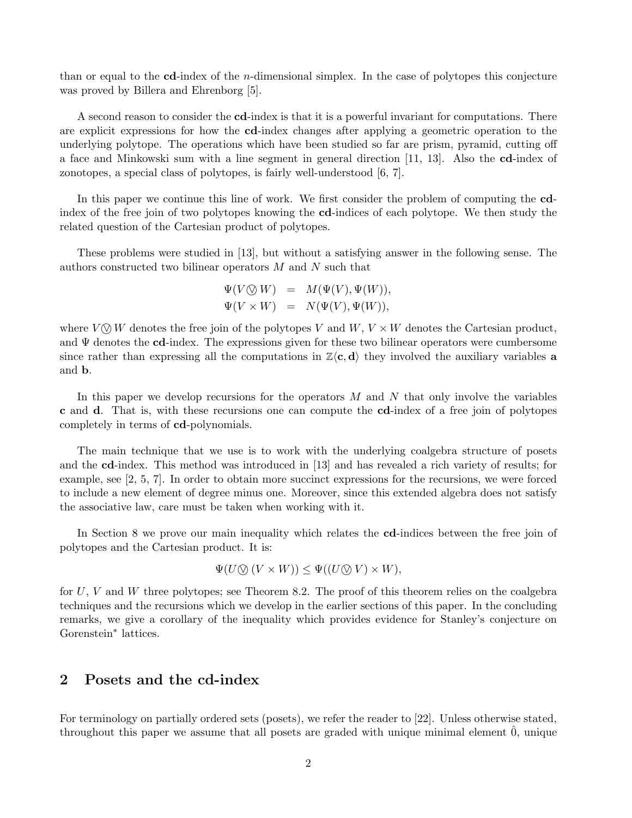than or equal to the  $c\mathbf{d}$ -index of the *n*-dimensional simplex. In the case of polytopes this conjecture was proved by Billera and Ehrenborg [5].

A second reason to consider the cd-index is that it is a powerful invariant for computations. There are explicit expressions for how the cd-index changes after applying a geometric operation to the underlying polytope. The operations which have been studied so far are prism, pyramid, cutting off a face and Minkowski sum with a line segment in general direction [11, 13]. Also the cd-index of zonotopes, a special class of polytopes, is fairly well-understood [6, 7].

In this paper we continue this line of work. We first consider the problem of computing the cdindex of the free join of two polytopes knowing the cd-indices of each polytope. We then study the related question of the Cartesian product of polytopes.

These problems were studied in [13], but without a satisfying answer in the following sense. The authors constructed two bilinear operators M and N such that

$$
\Psi(V \otimes W) = M(\Psi(V), \Psi(W)),
$$
  

$$
\Psi(V \times W) = N(\Psi(V), \Psi(W)),
$$

where  $V \otimes W$  denotes the free join of the polytopes V and  $W, V \times W$  denotes the Cartesian product, and  $\Psi$  denotes the cd-index. The expressions given for these two bilinear operators were cumbersome since rather than expressing all the computations in  $\mathbb{Z}\langle c, d \rangle$  they involved the auxiliary variables **a** and b.

In this paper we develop recursions for the operators  $M$  and  $N$  that only involve the variables c and d. That is, with these recursions one can compute the cd-index of a free join of polytopes completely in terms of cd-polynomials.

The main technique that we use is to work with the underlying coalgebra structure of posets and the cd-index. This method was introduced in [13] and has revealed a rich variety of results; for example, see [2, 5, 7]. In order to obtain more succinct expressions for the recursions, we were forced to include a new element of degree minus one. Moreover, since this extended algebra does not satisfy the associative law, care must be taken when working with it.

In Section 8 we prove our main inequality which relates the cd-indices between the free join of polytopes and the Cartesian product. It is:

$$
\Psi(U \bigotimes (V \times W)) \leq \Psi((U \bigotimes V) \times W),
$$

for  $U, V$  and  $W$  three polytopes; see Theorem 8.2. The proof of this theorem relies on the coalgebra techniques and the recursions which we develop in the earlier sections of this paper. In the concluding remarks, we give a corollary of the inequality which provides evidence for Stanley's conjecture on Gorenstein<sup>∗</sup> lattices.

# 2 Posets and the cd-index

For terminology on partially ordered sets (posets), we refer the reader to [22]. Unless otherwise stated, throughout this paper we assume that all posets are graded with unique minimal element 0, unique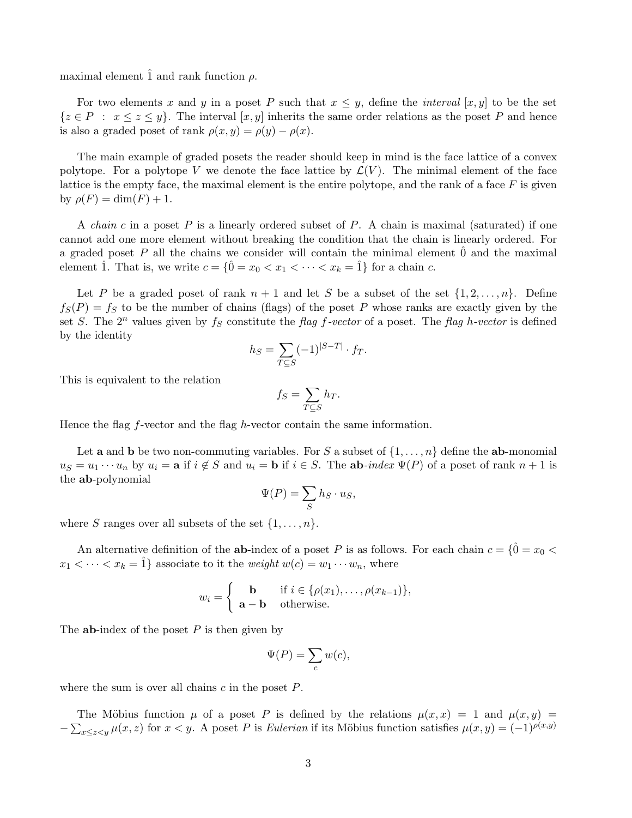maximal element  $\hat{1}$  and rank function  $\rho$ .

For two elements x and y in a poset P such that  $x \leq y$ , define the *interval* [x, y] to be the set  $\{z \in P : x \leq z \leq y\}$ . The interval  $[x, y]$  inherits the same order relations as the poset P and hence is also a graded poset of rank  $\rho(x, y) = \rho(y) - \rho(x)$ .

The main example of graded posets the reader should keep in mind is the face lattice of a convex polytope. For a polytope V we denote the face lattice by  $\mathcal{L}(V)$ . The minimal element of the face lattice is the empty face, the maximal element is the entire polytope, and the rank of a face  $F$  is given by  $\rho(F) = \dim(F) + 1$ .

A *chain c* in a poset P is a linearly ordered subset of P. A chain is maximal (saturated) if one cannot add one more element without breaking the condition that the chain is linearly ordered. For a graded poset  $P$  all the chains we consider will contain the minimal element  $0$  and the maximal element  $\hat{1}$ . That is, we write  $c = \{\hat{0} = x_0 < x_1 < \cdots < x_k = \hat{1}\}\$ for a chain c.

Let P be a graded poset of rank  $n + 1$  and let S be a subset of the set  $\{1, 2, \ldots, n\}$ . Define  $f_S(P) = f_S$  to be the number of chains (flags) of the poset P whose ranks are exactly given by the set S. The  $2^n$  values given by  $f_S$  constitute the flag f-vector of a poset. The flag h-vector is defined by the identity

$$
h_S = \sum_{T \subseteq S} (-1)^{|S-T|} \cdot f_T.
$$

This is equivalent to the relation

$$
f_S = \sum_{T \subseteq S} h_T.
$$

Hence the flag f-vector and the flag h-vector contain the same information.

Let **a** and **b** be two non-commuting variables. For S a subset of  $\{1, \ldots, n\}$  define the **ab**-monomial  $u_S = u_1 \cdots u_n$  by  $u_i = \mathbf{a}$  if  $i \notin S$  and  $u_i = \mathbf{b}$  if  $i \in S$ . The  $\mathbf{a} \mathbf{b}$ -index  $\Psi(P)$  of a poset of rank  $n+1$  is the ab-polynomial

$$
\Psi(P) = \sum_{S} h_S \cdot u_S,
$$

where S ranges over all subsets of the set  $\{1, \ldots, n\}$ .

An alternative definition of the **ab-**index of a poset P is as follows. For each chain  $c = \{\hat{0} = x_0 <$  $x_1 < \cdots < x_k = 1$  associate to it the *weight*  $w(c) = w_1 \cdots w_n$ , where

$$
w_i = \begin{cases} \mathbf{b} & \text{if } i \in \{\rho(x_1), \dots, \rho(x_{k-1})\}, \\ \mathbf{a} - \mathbf{b} & \text{otherwise.} \end{cases}
$$

The **ab-**index of the poset  $P$  is then given by

$$
\Psi(P) = \sum_{c} w(c),
$$

where the sum is over all chains  $c$  in the poset  $P$ .

The Möbius function  $\mu$  of a poset P is defined by the relations  $\mu(x,x) = 1$  and  $\mu(x,y) =$  $-\sum_{x\leq z\leq y}\mu(x,z)$  for  $x< y$ . A poset P is Eulerian if its Möbius function satisfies  $\mu(x,y)=(-1)^{\rho(x,y)}$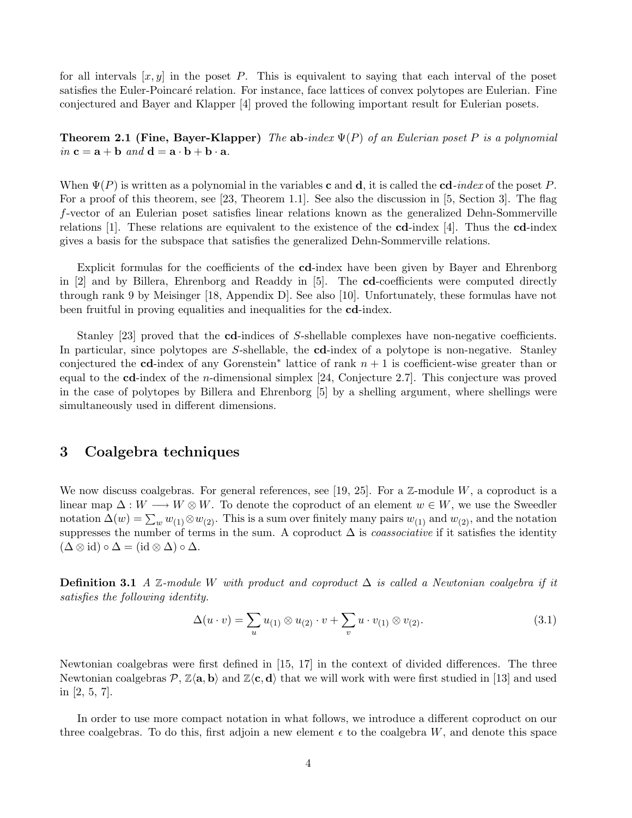for all intervals  $[x, y]$  in the poset P. This is equivalent to saying that each interval of the poset satisfies the Euler-Poincaré relation. For instance, face lattices of convex polytopes are Eulerian. Fine conjectured and Bayer and Klapper [4] proved the following important result for Eulerian posets.

**Theorem 2.1 (Fine, Bayer-Klapper)** The ab-index  $\Psi(P)$  of an Eulerian poset P is a polynomial in  $\mathbf{c} = \mathbf{a} + \mathbf{b}$  and  $\mathbf{d} = \mathbf{a} \cdot \mathbf{b} + \mathbf{b} \cdot \mathbf{a}$ .

When  $\Psi(P)$  is written as a polynomial in the variables **c** and **d**, it is called the **cd**-index of the poset P. For a proof of this theorem, see [23, Theorem 1.1]. See also the discussion in [5, Section 3]. The flag f-vector of an Eulerian poset satisfies linear relations known as the generalized Dehn-Sommerville relations [1]. These relations are equivalent to the existence of the  $cd$ -index [4]. Thus the  $cd$ -index gives a basis for the subspace that satisfies the generalized Dehn-Sommerville relations.

Explicit formulas for the coefficients of the cd-index have been given by Bayer and Ehrenborg in [2] and by Billera, Ehrenborg and Readdy in [5]. The cd-coefficients were computed directly through rank 9 by Meisinger [18, Appendix D]. See also [10]. Unfortunately, these formulas have not been fruitful in proving equalities and inequalities for the cd-index.

Stanley [23] proved that the cd-indices of S-shellable complexes have non-negative coefficients. In particular, since polytopes are S-shellable, the **cd**-index of a polytope is non-negative. Stanley conjectured the **cd**-index of any Gorenstein<sup>\*</sup> lattice of rank  $n + 1$  is coefficient-wise greater than or equal to the cd-index of the n-dimensional simplex [24, Conjecture 2.7]. This conjecture was proved in the case of polytopes by Billera and Ehrenborg [5] by a shelling argument, where shellings were simultaneously used in different dimensions.

## 3 Coalgebra techniques

We now discuss coalgebras. For general references, see [19, 25]. For a  $\mathbb{Z}$ -module  $W$ , a coproduct is a linear map  $\Delta: W \longrightarrow W \otimes W$ . To denote the coproduct of an element  $w \in W$ , we use the Sweedler notation  $\Delta(w) = \sum_{w} w_{(1)} \otimes w_{(2)}$ . This is a sum over finitely many pairs  $w_{(1)}$  and  $w_{(2)}$ , and the notation suppresses the number of terms in the sum. A coproduct  $\Delta$  is *coassociative* if it satisfies the identity  $(\Delta \otimes id) \circ \Delta = (id \otimes \Delta) \circ \Delta.$ 

**Definition 3.1** A  $\mathbb{Z}$ -module W with product and coproduct  $\Delta$  is called a Newtonian coalgebra if it satisfies the following identity.

$$
\Delta(u \cdot v) = \sum_{u} u_{(1)} \otimes u_{(2)} \cdot v + \sum_{v} u \cdot v_{(1)} \otimes v_{(2)}.
$$
\n(3.1)

Newtonian coalgebras were first defined in [15, 17] in the context of divided differences. The three Newtonian coalgebras  $\mathcal{P}, \mathbb{Z}\langle a, b \rangle$  and  $\mathbb{Z}\langle c, d \rangle$  that we will work with were first studied in [13] and used in [2, 5, 7].

In order to use more compact notation in what follows, we introduce a different coproduct on our three coalgebras. To do this, first adjoin a new element  $\epsilon$  to the coalgebra W, and denote this space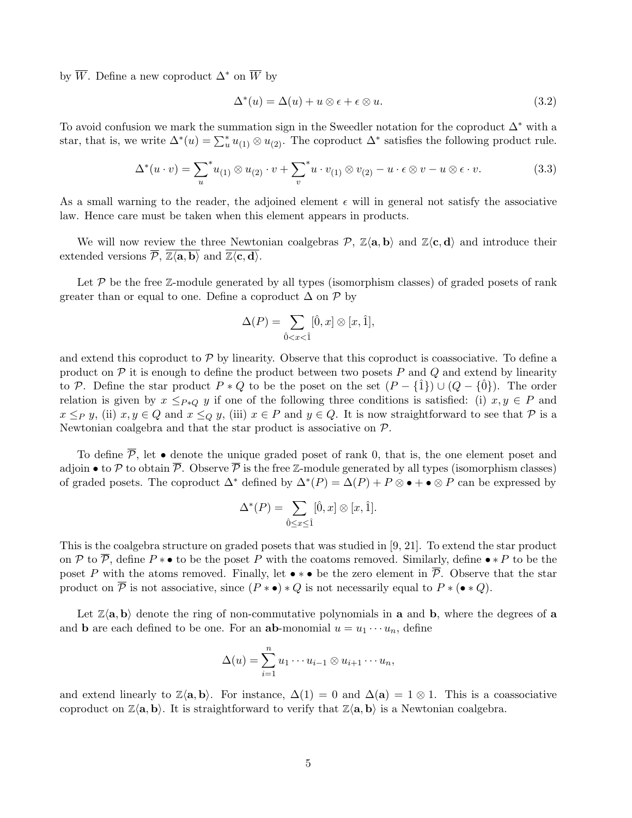by  $\overline{W}$ . Define a new coproduct  $\Delta^*$  on  $\overline{W}$  by

$$
\Delta^*(u) = \Delta(u) + u \otimes \epsilon + \epsilon \otimes u. \tag{3.2}
$$

To avoid confusion we mark the summation sign in the Sweedler notation for the coproduct  $\Delta^*$  with a star, that is, we write  $\Delta^*(u) = \sum_{u=1}^{n} u_{(1)} \otimes u_{(2)}$ . The coproduct  $\Delta^*$  satisfies the following product rule.

$$
\Delta^*(u \cdot v) = \sum_{u}^* u_{(1)} \otimes u_{(2)} \cdot v + \sum_{v}^* u \cdot v_{(1)} \otimes v_{(2)} - u \cdot \epsilon \otimes v - u \otimes \epsilon \cdot v. \tag{3.3}
$$

As a small warning to the reader, the adjoined element  $\epsilon$  will in general not satisfy the associative law. Hence care must be taken when this element appears in products.

We will now review the three Newtonian coalgebras  $P$ ,  $\mathbb{Z}\langle a, b \rangle$  and  $\mathbb{Z}\langle c, d \rangle$  and introduce their extended versions  $\overline{P}$ ,  $\overline{\mathbb{Z}\langle \mathbf{a}, \mathbf{b} \rangle}$  and  $\overline{\mathbb{Z}\langle \mathbf{c}, \mathbf{d} \rangle}$ .

Let  $P$  be the free  $\mathbb{Z}$ -module generated by all types (isomorphism classes) of graded posets of rank greater than or equal to one. Define a coproduct  $\Delta$  on  $\mathcal P$  by

$$
\Delta(P) = \sum_{\hat{0} < x < \hat{1}} [\hat{0}, x] \otimes [x, \hat{1}],
$$

and extend this coproduct to  $P$  by linearity. Observe that this coproduct is coassociative. To define a product on  $P$  it is enough to define the product between two posets  $P$  and  $Q$  and extend by linearity to P. Define the star product  $P * Q$  to be the poset on the set  $(P - \{\hat{1}\}) \cup (Q - \{\hat{0}\})$ . The order relation is given by  $x \leq_{P*Q} y$  if one of the following three conditions is satisfied: (i)  $x, y \in P$  and  $x \leq_P y$ , (ii)  $x, y \in Q$  and  $x \leq_Q y$ , (iii)  $x \in P$  and  $y \in Q$ . It is now straightforward to see that P is a Newtonian coalgebra and that the star product is associative on P.

To define  $\overline{P}$ , let • denote the unique graded poset of rank 0, that is, the one element poset and adjoin • to P to obtain  $\overline{P}$ . Observe  $\overline{P}$  is the free Z-module generated by all types (isomorphism classes) of graded posets. The coproduct  $\Delta^*$  defined by  $\Delta^*(P) = \Delta(P) + P \otimes \bullet + \bullet \otimes P$  can be expressed by

$$
\Delta^*(P) = \sum_{\hat{0} \le x \le \hat{1}} [\hat{0}, x] \otimes [x, \hat{1}].
$$

This is the coalgebra structure on graded posets that was studied in [9, 21]. To extend the star product on P to  $\overline{P}$ , define P  $* \bullet$  to be the poset P with the coatoms removed. Similarly, define  $\bullet * P$  to be the poset P with the atoms removed. Finally, let  $\bullet * \bullet$  be the zero element in  $\overline{P}$ . Observe that the star product on  $\overline{P}$  is not associative, since  $(P * \bullet) * Q$  is not necessarily equal to  $P * (\bullet * Q)$ .

Let  $\mathbb{Z}\langle \mathbf{a}, \mathbf{b} \rangle$  denote the ring of non-commutative polynomials in a and b, where the degrees of a and **b** are each defined to be one. For an **ab**-monomial  $u = u_1 \cdots u_n$ , define

$$
\Delta(u) = \sum_{i=1}^n u_1 \cdots u_{i-1} \otimes u_{i+1} \cdots u_n,
$$

and extend linearly to  $\mathbb{Z}\langle \mathbf{a}, \mathbf{b} \rangle$ . For instance,  $\Delta(1) = 0$  and  $\Delta(\mathbf{a}) = 1 \otimes 1$ . This is a coassociative coproduct on  $\mathbb{Z}\langle \mathbf{a}, \mathbf{b} \rangle$ . It is straightforward to verify that  $\mathbb{Z}\langle \mathbf{a}, \mathbf{b} \rangle$  is a Newtonian coalgebra.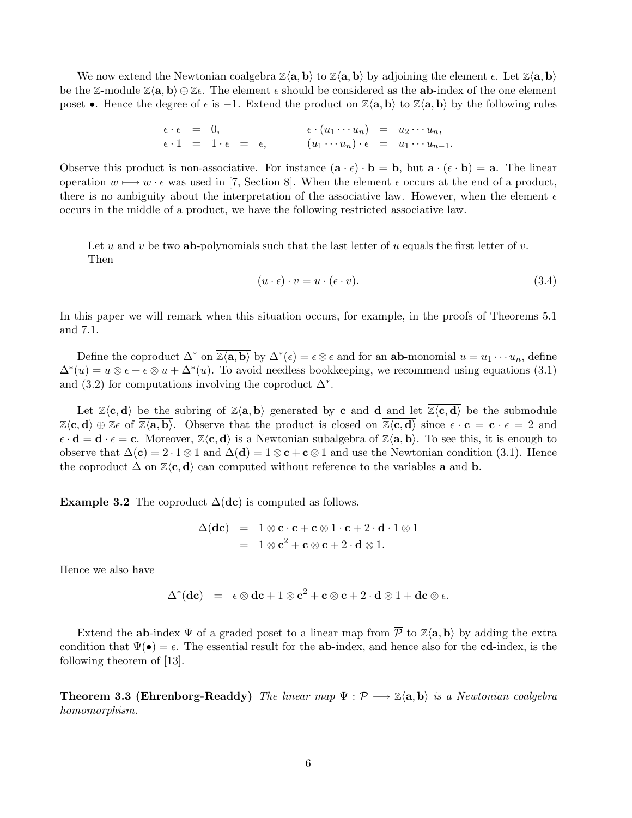We now extend the Newtonian coalgebra  $\mathbb{Z}\langle a, b \rangle$  to  $\overline{\mathbb{Z}\langle a, b \rangle}$  by adjoining the element  $\epsilon$ . Let  $\overline{\mathbb{Z}\langle a, b \rangle}$ be the Z-module  $\mathbb{Z}\langle \mathbf{a}, \mathbf{b} \rangle \oplus \mathbb{Z}\epsilon$ . The element  $\epsilon$  should be considered as the **ab**-index of the one element poset •. Hence the degree of  $\epsilon$  is  $-1$ . Extend the product on  $\mathbb{Z}\langle \mathbf{a}, \mathbf{b} \rangle$  to  $\mathbb{Z}\langle \mathbf{a}, \mathbf{b} \rangle$  by the following rules

$$
\begin{array}{rcl}\n\epsilon \cdot \epsilon & = & 0, \\
\epsilon \cdot 1 & = & 1 \cdot \epsilon \\
\end{array}\n\qquad\n\begin{array}{rcl}\n\epsilon \cdot (u_1 \cdots u_n) & = & u_2 \cdots u_n, \\
(u_1 \cdots u_n) \cdot \epsilon & = & u_1 \cdots u_{n-1}.\n\end{array}
$$

Observe this product is non-associative. For instance  $(\mathbf{a} \cdot \mathbf{\epsilon}) \cdot \mathbf{b} = \mathbf{b}$ , but  $\mathbf{a} \cdot (\mathbf{\epsilon} \cdot \mathbf{b}) = \mathbf{a}$ . The linear operation  $w \mapsto w \cdot \epsilon$  was used in [7, Section 8]. When the element  $\epsilon$  occurs at the end of a product, there is no ambiguity about the interpretation of the associative law. However, when the element  $\epsilon$ occurs in the middle of a product, we have the following restricted associative law.

Let u and v be two **ab**-polynomials such that the last letter of u equals the first letter of v. Then

$$
(u \cdot \epsilon) \cdot v = u \cdot (\epsilon \cdot v). \tag{3.4}
$$

In this paper we will remark when this situation occurs, for example, in the proofs of Theorems 5.1 and 7.1.

Define the coproduct  $\Delta^*$  on  $\overline{\mathbb{Z}\langle \mathbf{a},\mathbf{b} \rangle}$  by  $\Delta^*(\epsilon) = \epsilon \otimes \epsilon$  and for an **ab**-monomial  $u = u_1 \cdots u_n$ , define  $\Delta^*(u) = u \otimes \epsilon + \epsilon \otimes u + \Delta^*(u)$ . To avoid needless bookkeeping, we recommend using equations (3.1) and (3.2) for computations involving the coproduct  $\Delta^*$ .

Let  $\mathbb{Z}\langle \mathbf{c}, \mathbf{d} \rangle$  be the subring of  $\mathbb{Z}\langle \mathbf{a}, \mathbf{b} \rangle$  generated by **c** and **d** and let  $\overline{\mathbb{Z}\langle \mathbf{c}, \mathbf{d} \rangle}$  be the submodule  $\mathbb{Z}\langle \mathbf{c}, \mathbf{d} \rangle \oplus \mathbb{Z}\epsilon$  of  $\overline{\mathbb{Z}\langle \mathbf{a}, \mathbf{b} \rangle}$ . Observe that the product is closed on  $\overline{\mathbb{Z}\langle \mathbf{c}, \mathbf{d} \rangle}$  since  $\epsilon \cdot \mathbf{c} = \mathbf{c} \cdot \epsilon = 2$  and  $\epsilon \cdot \mathbf{d} = \mathbf{d} \cdot \epsilon = \mathbf{c}$ . Moreover,  $\mathbb{Z}\langle \mathbf{c}, \mathbf{d} \rangle$  is a Newtonian subalgebra of  $\mathbb{Z}\langle \mathbf{a}, \mathbf{b} \rangle$ . To see this, it is enough to observe that  $\Delta(c) = 2 \cdot 1 \otimes 1$  and  $\Delta(d) = 1 \otimes c + c \otimes 1$  and use the Newtonian condition (3.1). Hence the coproduct  $\Delta$  on  $\mathbb{Z}\langle \mathbf{c}, \mathbf{d} \rangle$  can computed without reference to the variables **a** and **b**.

**Example 3.2** The coproduct  $\Delta(\textbf{dc})$  is computed as follows.

$$
\Delta(\mathbf{dc}) = 1 \otimes \mathbf{c} \cdot \mathbf{c} + \mathbf{c} \otimes 1 \cdot \mathbf{c} + 2 \cdot \mathbf{d} \cdot 1 \otimes 1
$$
  
=  $1 \otimes \mathbf{c}^2 + \mathbf{c} \otimes \mathbf{c} + 2 \cdot \mathbf{d} \otimes 1$ .

Hence we also have

$$
\Delta^*(\mathbf{dc}) = \epsilon \otimes \mathbf{dc} + 1 \otimes \mathbf{c}^2 + \mathbf{c} \otimes \mathbf{c} + 2 \cdot \mathbf{d} \otimes 1 + \mathbf{dc} \otimes \epsilon.
$$

Extend the ab-index  $\Psi$  of a graded poset to a linear map from  $\overline{P}$  to  $\overline{Z(a,b)}$  by adding the extra condition that  $\Psi(\bullet) = \epsilon$ . The essential result for the **ab**-index, and hence also for the **cd**-index, is the following theorem of [13].

**Theorem 3.3 (Ehrenborg-Readdy)** The linear map  $\Psi : \mathcal{P} \longrightarrow \mathbb{Z}\langle \mathbf{a}, \mathbf{b} \rangle$  is a Newtonian coalgebra homomorphism.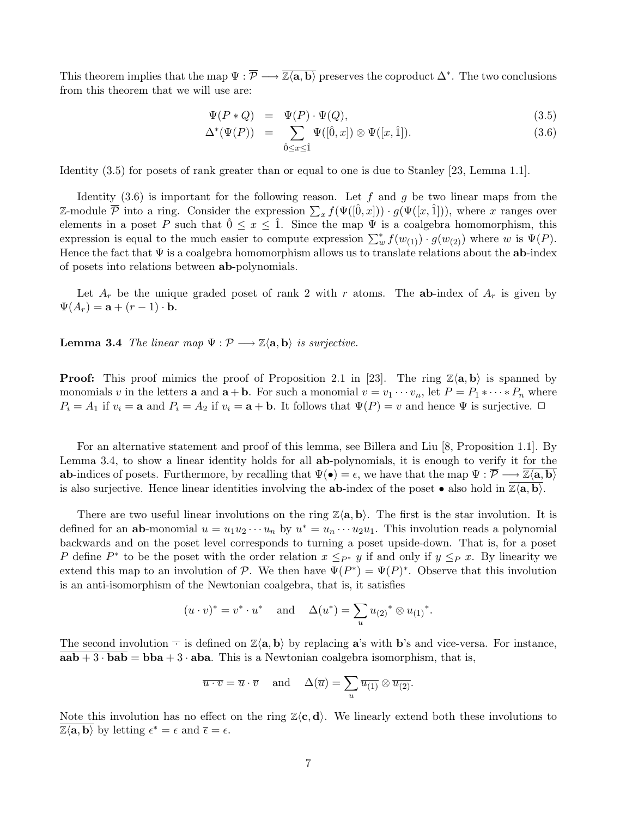This theorem implies that the map  $\Psi : \overline{P} \longrightarrow \overline{\mathbb{Z}\langle a,b\rangle}$  preserves the coproduct  $\Delta^*$ . The two conclusions from this theorem that we will use are:

$$
\Psi(P * Q) = \Psi(P) \cdot \Psi(Q), \tag{3.5}
$$

$$
\Delta^*(\Psi(P)) = \sum_{\hat{0} \le x \le \hat{1}} \Psi([\hat{0}, x]) \otimes \Psi([x, \hat{1}]). \tag{3.6}
$$

Identity (3.5) for posets of rank greater than or equal to one is due to Stanley [23, Lemma 1.1].

Identity  $(3.6)$  is important for the following reason. Let f and g be two linear maps from the Z-module  $\overline{P}$  into a ring. Consider the expression  $\sum_x f(\Psi([\hat{0},x])) \cdot g(\Psi([x,\hat{1}]))$ , where x ranges over elements in a poset P such that  $0 \le x \le 1$ . Since the map  $\Psi$  is a coalgebra homomorphism, this expression is equal to the much easier to compute expression  $\sum_{w=0}^{*} f(w_{(1)}) \cdot g(w_{(2)})$  where w is  $\Psi(P)$ . Hence the fact that  $\Psi$  is a coalgebra homomorphism allows us to translate relations about the **ab**-index of posets into relations between ab-polynomials.

Let  $A_r$  be the unique graded poset of rank 2 with r atoms. The **ab-**index of  $A_r$  is given by  $\Psi(A_r) = \mathbf{a} + (r-1) \cdot \mathbf{b}.$ 

**Lemma 3.4** The linear map  $\Psi : \mathcal{P} \longrightarrow \mathbb{Z}\langle \mathbf{a}, \mathbf{b} \rangle$  is surjective.

**Proof:** This proof mimics the proof of Proposition 2.1 in [23]. The ring  $\mathbb{Z}\langle \mathbf{a}, \mathbf{b} \rangle$  is spanned by monomials v in the letters **a** and  $\mathbf{a} + \mathbf{b}$ . For such a monomial  $v = v_1 \cdots v_n$ , let  $P = P_1 * \cdots * P_n$  where  $P_i = A_1$  if  $v_i = \mathbf{a}$  and  $P_i = A_2$  if  $v_i = \mathbf{a} + \mathbf{b}$ . It follows that  $\Psi(P) = v$  and hence  $\Psi$  is surjective.  $\Box$ 

For an alternative statement and proof of this lemma, see Billera and Liu [8, Proposition 1.1]. By Lemma 3.4, to show a linear identity holds for all ab-polynomials, it is enough to verify it for the ab-indices of posets. Furthermore, by recalling that  $\Psi(\bullet) = \epsilon$ , we have that the map  $\Psi : \overline{\mathcal{P}} \longrightarrow \mathbb{Z}\langle \mathbf{a}, \mathbf{b} \rangle$ is also surjective. Hence linear identities involving the **ab-**index of the poset • also hold in  $\overline{\mathbb{Z}\langle \mathbf{a}, \mathbf{b} \rangle}$ .

There are two useful linear involutions on the ring  $\mathbb{Z}\langle a, b \rangle$ . The first is the star involution. It is defined for an **ab**-monomial  $u = u_1 u_2 \cdots u_n$  by  $u^* = u_n \cdots u_2 u_1$ . This involution reads a polynomial backwards and on the poset level corresponds to turning a poset upside-down. That is, for a poset P define  $P^*$  to be the poset with the order relation  $x \leq_{P^*} y$  if and only if  $y \leq_P x$ . By linearity we extend this map to an involution of P. We then have  $\Psi(P^*) = \Psi(P)^*$ . Observe that this involution is an anti-isomorphism of the Newtonian coalgebra, that is, it satisfies

$$
(u \cdot v)^* = v^* \cdot u^*
$$
 and  $\Delta(u^*) = \sum_u u_{(2)}^* \otimes u_{(1)}^*.$ 

The second involution  $\overline{\cdot}$  is defined on  $\mathbb{Z}\langle a, b \rangle$  by replacing a's with b's and vice-versa. For instance,  $aab + 3 \cdot bab = bba + 3 \cdot aba$ . This is a Newtonian coalgebra isomorphism, that is,

$$
\overline{u \cdot v} = \overline{u} \cdot \overline{v}
$$
 and  $\Delta(\overline{u}) = \sum_{u} \overline{u_{(1)}} \otimes \overline{u_{(2)}}.$ 

Note this involution has no effect on the ring  $\mathbb{Z}\langle \mathbf{c}, \mathbf{d} \rangle$ . We linearly extend both these involutions to  $\overline{\mathbb{Z}\langle \mathbf{a}, \mathbf{b} \rangle}$  by letting  $\epsilon^* = \epsilon$  and  $\overline{\epsilon} = \epsilon$ .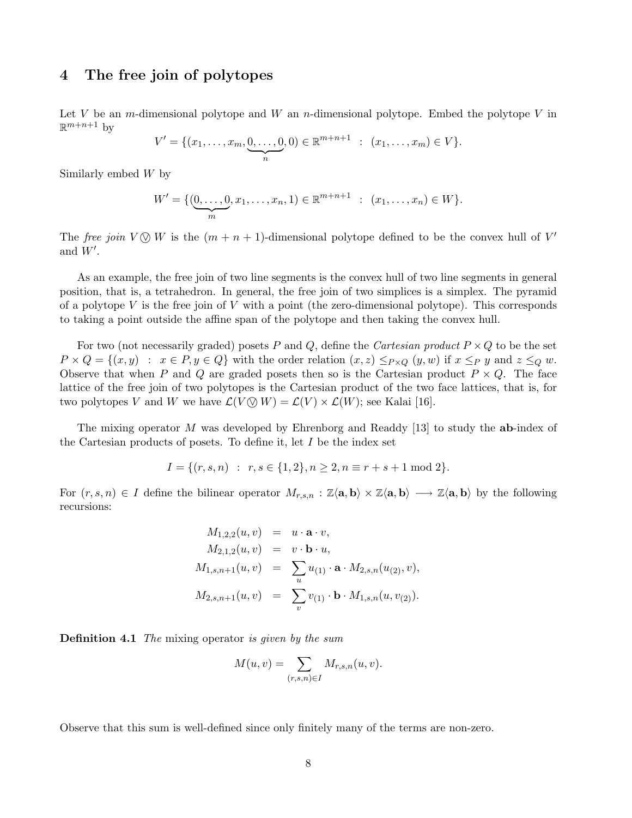# 4 The free join of polytopes

Let V be an m-dimensional polytope and W an n-dimensional polytope. Embed the polytope V in  $\mathbb{R}^{m+n+1}$  by

$$
V' = \{ (x_1, \ldots, x_m, \underbrace{0, \ldots, 0}_{n}, 0) \in \mathbb{R}^{m+n+1} : (x_1, \ldots, x_m) \in V \}.
$$

Similarly embed W by

$$
W' = \{(\underbrace{0, \ldots, 0}_{m}, x_1, \ldots, x_n, 1) \in \mathbb{R}^{m+n+1} : (x_1, \ldots, x_n) \in W\}.
$$

The free join  $V \otimes W$  is the  $(m + n + 1)$ -dimensional polytope defined to be the convex hull of V' and  $W'$ .

As an example, the free join of two line segments is the convex hull of two line segments in general position, that is, a tetrahedron. In general, the free join of two simplices is a simplex. The pyramid of a polytope  $V$  is the free join of  $V$  with a point (the zero-dimensional polytope). This corresponds to taking a point outside the affine span of the polytope and then taking the convex hull.

For two (not necessarily graded) posets P and Q, define the Cartesian product  $P \times Q$  to be the set  $P \times Q = \{(x, y) : x \in P, y \in Q\}$  with the order relation  $(x, z) \leq_{P \times Q} (y, w)$  if  $x \leq_P y$  and  $z \leq_Q w$ . Observe that when P and Q are graded posets then so is the Cartesian product  $P \times Q$ . The face lattice of the free join of two polytopes is the Cartesian product of the two face lattices, that is, for two polytopes V and W we have  $\mathcal{L}(V \otimes W) = \mathcal{L}(V) \times \mathcal{L}(W)$ ; see Kalai [16].

The mixing operator M was developed by Ehrenborg and Readdy [13] to study the **ab-**index of the Cartesian products of posets. To define it, let  $I$  be the index set

$$
I = \{(r, s, n) : r, s \in \{1, 2\}, n \ge 2, n \equiv r + s + 1 \mod 2\}.
$$

For  $(r, s, n) \in I$  define the bilinear operator  $M_{r,s,n} : \mathbb{Z}\langle \mathbf{a}, \mathbf{b} \rangle \times \mathbb{Z}\langle \mathbf{a}, \mathbf{b} \rangle \longrightarrow \mathbb{Z}\langle \mathbf{a}, \mathbf{b} \rangle$  by the following recursions:

$$
M_{1,2,2}(u, v) = u \cdot \mathbf{a} \cdot v,
$$
  
\n
$$
M_{2,1,2}(u, v) = v \cdot \mathbf{b} \cdot u,
$$
  
\n
$$
M_{1,s,n+1}(u, v) = \sum_{u} u_{(1)} \cdot \mathbf{a} \cdot M_{2,s,n}(u_{(2)}, v),
$$
  
\n
$$
M_{2,s,n+1}(u, v) = \sum_{v} v_{(1)} \cdot \mathbf{b} \cdot M_{1,s,n}(u, v_{(2)}).
$$

**Definition 4.1** The mixing operator is given by the sum

$$
M(u, v) = \sum_{(r,s,n)\in I} M_{r,s,n}(u, v).
$$

Observe that this sum is well-defined since only finitely many of the terms are non-zero.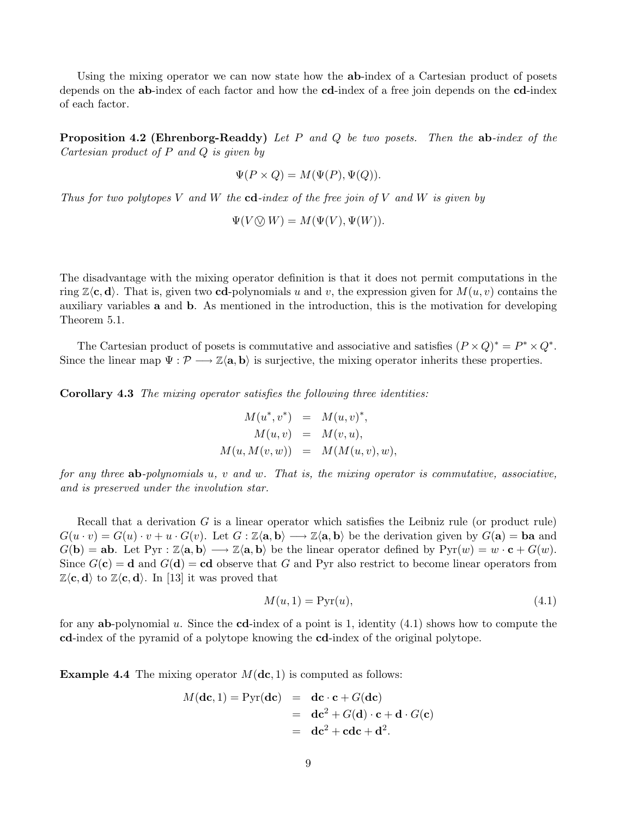Using the mixing operator we can now state how the ab-index of a Cartesian product of posets depends on the ab-index of each factor and how the cd-index of a free join depends on the cd-index of each factor.

**Proposition 4.2 (Ehrenborg-Readdy)** Let P and Q be two posets. Then the  $ab$ -index of the Cartesian product of P and Q is given by

$$
\Psi(P \times Q) = M(\Psi(P), \Psi(Q)).
$$

Thus for two polytopes V and W the  $cd$ -index of the free join of V and W is given by

$$
\Psi(V \bigotimes W) = M(\Psi(V), \Psi(W)).
$$

The disadvantage with the mixing operator definition is that it does not permit computations in the ring  $\mathbb{Z}\langle \mathbf{c}, \mathbf{d} \rangle$ . That is, given two **cd**-polynomials u and v, the expression given for  $M(u, v)$  contains the auxiliary variables a and b. As mentioned in the introduction, this is the motivation for developing Theorem 5.1.

The Cartesian product of posets is commutative and associative and satisfies  $(P \times Q)^* = P^* \times Q^*$ . Since the linear map  $\Psi : \mathcal{P} \longrightarrow \mathbb{Z}\langle \mathbf{a}, \mathbf{b} \rangle$  is surjective, the mixing operator inherits these properties.

Corollary 4.3 The mixing operator satisfies the following three identities:

$$
M(u^*, v^*) = M(u, v)^*,
$$
  
\n
$$
M(u, v) = M(v, u),
$$
  
\n
$$
M(u, M(v, w)) = M(M(u, v), w),
$$

for any three ab-polynomials u, v and w. That is, the mixing operator is commutative, associative, and is preserved under the involution star.

Recall that a derivation  $G$  is a linear operator which satisfies the Leibniz rule (or product rule)  $G(u \cdot v) = G(u) \cdot v + u \cdot G(v)$ . Let  $G : \mathbb{Z}\langle \mathbf{a}, \mathbf{b} \rangle \longrightarrow \mathbb{Z}\langle \mathbf{a}, \mathbf{b} \rangle$  be the derivation given by  $G(\mathbf{a}) = \mathbf{ba}$  and  $G(\mathbf{b}) = \mathbf{a}\mathbf{b}$ . Let  $Pyr : \mathbb{Z}\langle \mathbf{a}, \mathbf{b} \rangle \longrightarrow \mathbb{Z}\langle \mathbf{a}, \mathbf{b} \rangle$  be the linear operator defined by  $Pyr(w) = w \cdot \mathbf{c} + G(w)$ . Since  $G(\mathbf{c}) = \mathbf{d}$  and  $G(\mathbf{d}) = \mathbf{cd}$  observe that G and Pyr also restrict to become linear operators from  $\mathbb{Z}\langle \mathbf{c}, \mathbf{d} \rangle$  to  $\mathbb{Z}\langle \mathbf{c}, \mathbf{d} \rangle$ . In [13] it was proved that

$$
M(u,1) = \text{Pyr}(u),\tag{4.1}
$$

for any **ab-**polynomial u. Since the **cd**-index of a point is 1, identity  $(4.1)$  shows how to compute the cd-index of the pyramid of a polytope knowing the cd-index of the original polytope.

**Example 4.4** The mixing operator  $M(\textbf{dc}, 1)$  is computed as follows:

$$
M(\mathbf{dc}, 1) = \text{Pyr}(\mathbf{dc}) = \mathbf{dc} \cdot \mathbf{c} + G(\mathbf{dc})
$$
  
= 
$$
\mathbf{dc}^2 + G(\mathbf{d}) \cdot \mathbf{c} + \mathbf{d} \cdot G(\mathbf{c})
$$
  
= 
$$
\mathbf{dc}^2 + \mathbf{cdc} + \mathbf{d}^2.
$$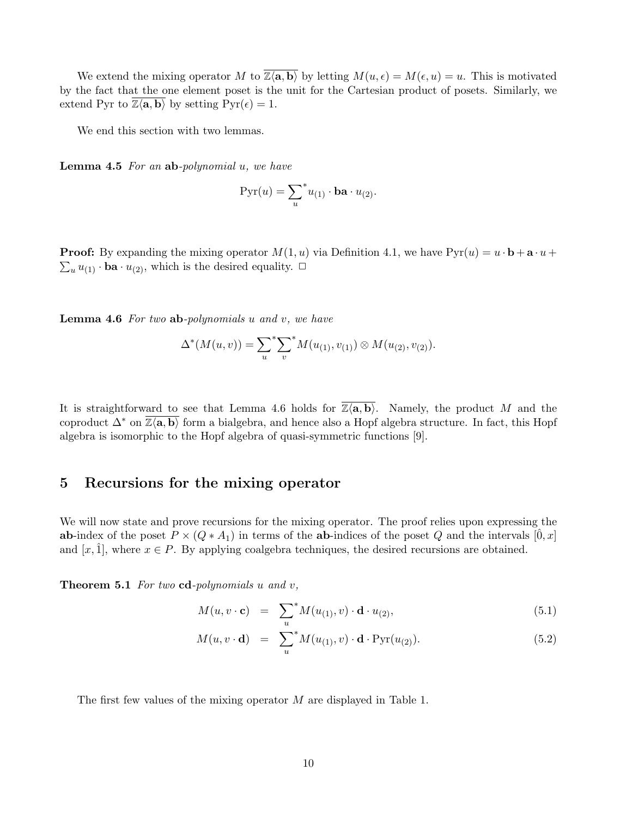We extend the mixing operator M to  $\overline{Z\langle \mathbf{a}, \mathbf{b} \rangle}$  by letting  $M(u, \epsilon) = M(\epsilon, u) = u$ . This is motivated by the fact that the one element poset is the unit for the Cartesian product of posets. Similarly, we extend Pyr to  $\mathbb{Z}\langle \mathbf{a}, \mathbf{b} \rangle$  by setting  $Pyr(\epsilon) = 1$ .

We end this section with two lemmas.

**Lemma 4.5** For an  $ab$ -polynomial  $u$ , we have

$$
Pyr(u) = \sum_{u}^{*} u_{(1)} \cdot ba \cdot u_{(2)}.
$$

**Proof:** By expanding the mixing operator  $M(1, u)$  via Definition 4.1, we have  $Pyr(u) = u \cdot \mathbf{b} + \mathbf{a} \cdot u +$  $\sum_u u_{(1)} \cdot \mathbf{ba} \cdot u_{(2)}$ , which is the desired equality.  $\Box$ 

**Lemma 4.6** For two  $ab$ -polynomials  $u$  and  $v$ , we have

$$
\Delta^*(M(u,v)) = \sum_u \sum_v M(u_{(1)}, v_{(1)}) \otimes M(u_{(2)}, v_{(2)}).
$$

It is straightforward to see that Lemma 4.6 holds for  $\overline{\mathbb{Z}\langle \mathbf{a}, \mathbf{b} \rangle}$ . Namely, the product M and the coproduct  $\Delta^*$  on  $\mathbb{Z}\langle \mathbf{a}, \mathbf{b} \rangle$  form a bialgebra, and hence also a Hopf algebra structure. In fact, this Hopf algebra is isomorphic to the Hopf algebra of quasi-symmetric functions [9].

#### 5 Recursions for the mixing operator

We will now state and prove recursions for the mixing operator. The proof relies upon expressing the ab-index of the poset  $P \times (Q \ast A_1)$  in terms of the ab-indices of the poset Q and the intervals  $[0, x]$ and  $[x, 1]$ , where  $x \in P$ . By applying coalgebra techniques, the desired recursions are obtained.

**Theorem 5.1** For two  $cd$ -polynomials u and v,

$$
M(u, v \cdot \mathbf{c}) = \sum_{u}^{*} M(u_{(1)}, v) \cdot \mathbf{d} \cdot u_{(2)}, \qquad (5.1)
$$

$$
M(u, v \cdot \mathbf{d}) = \sum_{u}^{*} M(u_{(1)}, v) \cdot \mathbf{d} \cdot \text{Pyr}(u_{(2)}).
$$
 (5.2)

The first few values of the mixing operator M are displayed in Table 1.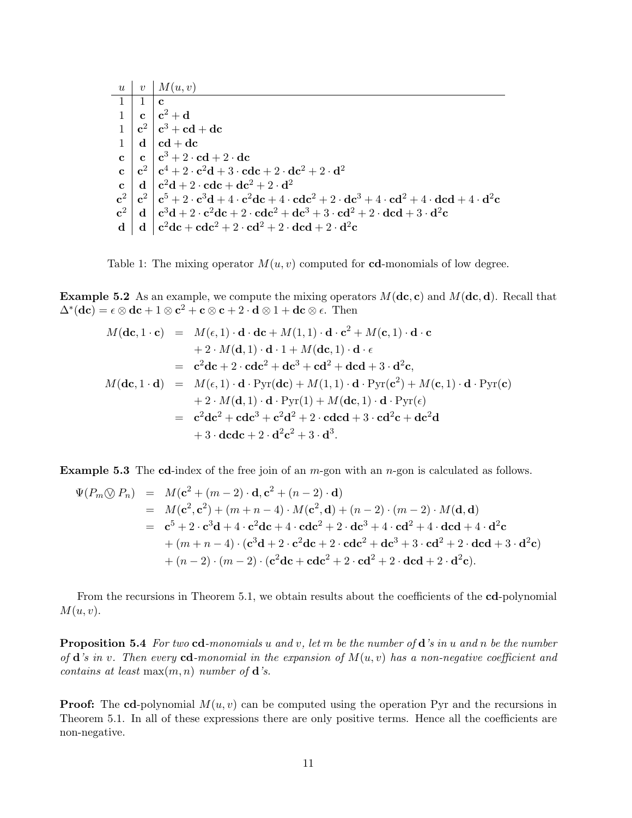|            | $u \mid v \mid M(u,v)$                                                                                                                                                                                                                                                                                      |
|------------|-------------------------------------------------------------------------------------------------------------------------------------------------------------------------------------------------------------------------------------------------------------------------------------------------------------|
| $1 \mid 1$ | $\mathbf{c}$                                                                                                                                                                                                                                                                                                |
|            | $1 \mid c \mid c^2 + d$                                                                                                                                                                                                                                                                                     |
|            | $\begin{array}{c c} 1 & c^2 & c^3 + cd + dc \\ 1 & d & cd + dc \end{array}$                                                                                                                                                                                                                                 |
|            |                                                                                                                                                                                                                                                                                                             |
|            | $\mathbf{c} \mid \mathbf{c} \mid \mathbf{c}^3 + 2 \cdot \mathbf{cd} + 2 \cdot \mathbf{dc}$                                                                                                                                                                                                                  |
|            | $\int_{\mathbf{c}}^{\mathbf{c}}   \mathbf{c}^2   \mathbf{c}^4 + 2 \cdot \mathbf{c}^2 \mathbf{d} + 3 \cdot \mathbf{c} \mathbf{d} \mathbf{c} + 2 \cdot \mathbf{d} \mathbf{c}^2 + 2 \cdot \mathbf{d}^2$                                                                                                        |
|            | c d $\mathbf{c}$ d $\mathbf{c}^2$ d + 2 · cdc + dc <sup>2</sup> + 2 · d <sup>2</sup>                                                                                                                                                                                                                        |
|            | $\left[\mathbf{c}^2\mid \mathbf{c}^2\mid \mathbf{c}^5+2\cdot \mathbf{c}^3\mathbf{d}+4\cdot \mathbf{c}^2\mathbf{d}\mathbf{c}+4\cdot \mathbf{c}\mathbf{d}\mathbf{c}^2+2\cdot \mathbf{d}\mathbf{c}^3+4\cdot \mathbf{c}\mathbf{d}^2+4\cdot \mathbf{d}\mathbf{c}\mathbf{d}+4\cdot \mathbf{d}^2\mathbf{c}\right]$ |
|            | $\mathbf{c}^2$   $\mathbf{d}$   $\mathbf{c}^3\mathbf{d} + 2 \cdot \mathbf{c}^2\mathbf{d}\mathbf{c} + 2 \cdot \mathbf{c}\mathbf{d}\mathbf{c}^2 + \mathbf{d}\mathbf{c}^3 + 3 \cdot \mathbf{c}\mathbf{d}^2 + 2 \cdot \mathbf{d}\mathbf{c}\mathbf{d} + 3 \cdot \mathbf{d}^2\mathbf{c}$                          |
|            | d   d   c <sup>2</sup> dc + cdc <sup>2</sup> + 2 · cd <sup>2</sup> + 2 · dcd + 2 · d <sup>2</sup> c                                                                                                                                                                                                         |

Table 1: The mixing operator  $M(u, v)$  computed for **cd**-monomials of low degree.

**Example 5.2** As an example, we compute the mixing operators  $M(\mathbf{dc}, \mathbf{c})$  and  $M(\mathbf{dc}, \mathbf{d})$ . Recall that  $\Delta^*(\mathbf{dc}) = \epsilon \otimes \mathbf{dc} + 1 \otimes \mathbf{c}^2 + \mathbf{c} \otimes \mathbf{c} + 2 \cdot \mathbf{d} \otimes 1 + \mathbf{dc} \otimes \epsilon.$  Then

$$
M(\mathbf{dc}, 1 \cdot \mathbf{c}) = M(\epsilon, 1) \cdot \mathbf{d} \cdot \mathbf{dc} + M(1, 1) \cdot \mathbf{d} \cdot \mathbf{c}^2 + M(\mathbf{c}, 1) \cdot \mathbf{d} \cdot \mathbf{c}
$$
  
+ 2 \cdot M(\mathbf{d}, 1) \cdot \mathbf{d} \cdot 1 + M(\mathbf{dc}, 1) \cdot \mathbf{d} \cdot \epsilon  
= \mathbf{c}^2 \mathbf{dc} + 2 \cdot \mathbf{cd} \mathbf{c}^2 + \mathbf{dc}^3 + \mathbf{cd}^2 + \mathbf{dc} \mathbf{d} + 3 \cdot \mathbf{d}^2 \mathbf{c},  

$$
M(\mathbf{dc}, 1 \cdot \mathbf{d}) = M(\epsilon, 1) \cdot \mathbf{d} \cdot \text{Pyr}(\mathbf{dc}) + M(1, 1) \cdot \mathbf{d} \cdot \text{Pyr}(\mathbf{c}^2) + M(\mathbf{c}, 1) \cdot \mathbf{d} \cdot \text{Pyr}(\mathbf{c})
$$
  
+ 2 \cdot M(\mathbf{d}, 1) \cdot \mathbf{d} \cdot \text{Pyr}(1) + M(\mathbf{dc}, 1) \cdot \mathbf{d} \cdot \text{Pyr}(\epsilon)  
= \mathbf{c}^2 \mathbf{dc}^2 + \mathbf{cd} \mathbf{c}^3 + \mathbf{c}^2 \mathbf{d}^2 + 2 \cdot \mathbf{cd} \mathbf{cd} + 3 \cdot \mathbf{cd}^2 \mathbf{c} + \mathbf{dc}^2 \mathbf{d}  
+ 3 \cdot \mathbf{dc} \mathbf{dc} + 2 \cdot \mathbf{d}^2 \mathbf{c}^2 + 3 \cdot \mathbf{d}^3.

**Example 5.3** The cd-index of the free join of an  $m$ -gon with an  $n$ -gon is calculated as follows.

$$
\Psi(P_m \bigotimes P_n) = M(\mathbf{c}^2 + (m-2) \cdot \mathbf{d}, \mathbf{c}^2 + (n-2) \cdot \mathbf{d})
$$
  
\n
$$
= M(\mathbf{c}^2, \mathbf{c}^2) + (m+n-4) \cdot M(\mathbf{c}^2, \mathbf{d}) + (n-2) \cdot (m-2) \cdot M(\mathbf{d}, \mathbf{d})
$$
  
\n
$$
= \mathbf{c}^5 + 2 \cdot \mathbf{c}^3 \mathbf{d} + 4 \cdot \mathbf{c}^2 \mathbf{d} \mathbf{c} + 4 \cdot \mathbf{c} \mathbf{d} \mathbf{c}^2 + 2 \cdot \mathbf{d} \mathbf{c}^3 + 4 \cdot \mathbf{c} \mathbf{d}^2 + 4 \cdot \mathbf{d} \mathbf{c} \mathbf{d} + 4 \cdot \mathbf{d}^2 \mathbf{c}
$$
  
\n
$$
+ (m+n-4) \cdot (\mathbf{c}^3 \mathbf{d} + 2 \cdot \mathbf{c}^2 \mathbf{d} \mathbf{c} + 2 \cdot \mathbf{c} \mathbf{d} \mathbf{c}^2 + \mathbf{d} \mathbf{c}^3 + 3 \cdot \mathbf{c} \mathbf{d}^2 + 2 \cdot \mathbf{d} \mathbf{c} \mathbf{d} + 3 \cdot \mathbf{d}^2 \mathbf{c})
$$
  
\n
$$
+ (n-2) \cdot (m-2) \cdot (\mathbf{c}^2 \mathbf{d} \mathbf{c} + \mathbf{c} \mathbf{d} \mathbf{c}^2 + 2 \cdot \mathbf{c} \mathbf{d}^2 + 2 \cdot \mathbf{d} \mathbf{c} \mathbf{d} + 2 \cdot \mathbf{d}^2 \mathbf{c}).
$$

From the recursions in Theorem 5.1, we obtain results about the coefficients of the cd-polynomial  $M(u, v)$ .

**Proposition 5.4** For two cd-monomials u and v, let m be the number of  $d$ 's in u and n be the number of  $\mathbf d$ 's in v. Then every  $\mathbf c\mathbf d$ -monomial in the expansion of  $M(u, v)$  has a non-negative coefficient and contains at least  $\max(m, n)$  number of **d**'s.

**Proof:** The cd-polynomial  $M(u, v)$  can be computed using the operation Pyr and the recursions in Theorem 5.1. In all of these expressions there are only positive terms. Hence all the coefficients are non-negative.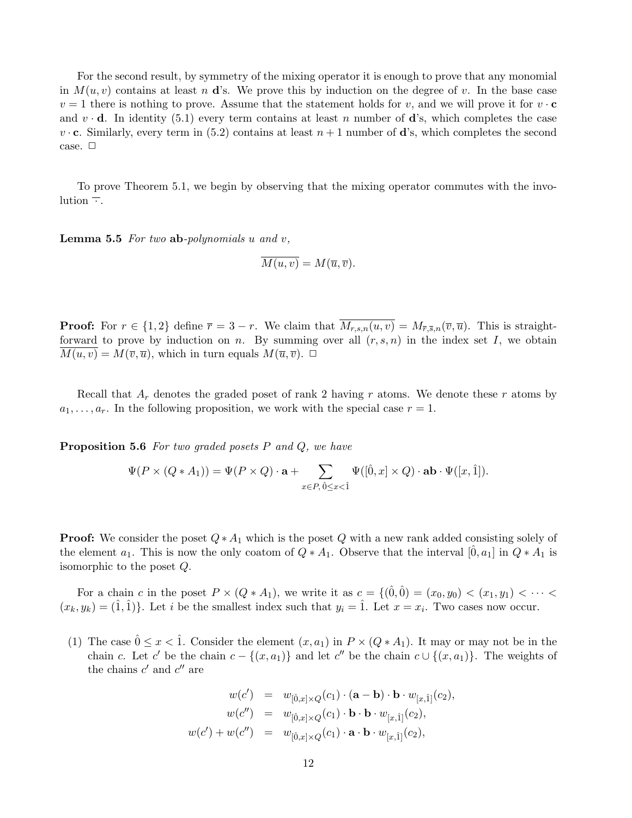For the second result, by symmetry of the mixing operator it is enough to prove that any monomial in  $M(u, v)$  contains at least n d's. We prove this by induction on the degree of v. In the base case  $v = 1$  there is nothing to prove. Assume that the statement holds for v, and we will prove it for  $v \cdot c$ and  $v \cdot d$ . In identity (5.1) every term contains at least n number of d's, which completes the case  $v \cdot c$ . Similarly, every term in (5.2) contains at least  $n+1$  number of **d**'s, which completes the second case.  $\square$ 

To prove Theorem 5.1, we begin by observing that the mixing operator commutes with the involution  $\overline{\cdot}$ .

**Lemma 5.5** For two ab-polynomials u and  $v$ ,

$$
\overline{M(u,v)} = M(\overline{u}, \overline{v}).
$$

**Proof:** For  $r \in \{1,2\}$  define  $\overline{r} = 3 - r$ . We claim that  $\overline{M_{r,s,n}(u,v)} = M_{\overline{r},\overline{s},n}(\overline{v},\overline{u})$ . This is straightforward to prove by induction on n. By summing over all  $(r, s, n)$  in the index set I, we obtain  $M(u, v) = M(\overline{v}, \overline{u})$ , which in turn equals  $M(\overline{u}, \overline{v})$ .  $\Box$ 

Recall that  $A_r$  denotes the graded poset of rank 2 having r atoms. We denote these r atoms by  $a_1, \ldots, a_r$ . In the following proposition, we work with the special case  $r = 1$ .

**Proposition 5.6** For two graded posets  $P$  and  $Q$ , we have

$$
\Psi(P \times (Q * A_1)) = \Psi(P \times Q) \cdot \mathbf{a} + \sum_{x \in P, \hat{0} \le x < \hat{1}} \Psi([\hat{0}, x] \times Q) \cdot \mathbf{a} \mathbf{b} \cdot \Psi([x, \hat{1}]).
$$

**Proof:** We consider the poset  $Q * A_1$  which is the poset Q with a new rank added consisting solely of the element  $a_1$ . This is now the only coatom of  $Q \ast A_1$ . Observe that the interval  $[0, a_1]$  in  $Q \ast A_1$  is isomorphic to the poset Q.

For a chain c in the poset  $P \times (Q * A_1)$ , we write it as  $c = \{(0, 0) = (x_0, y_0) < (x_1, y_1) < \cdots <$  $(x_k, y_k) = (\hat{1}, \hat{1})\}.$  Let i be the smallest index such that  $y_i = \hat{1}$ . Let  $x = x_i$ . Two cases now occur.

(1) The case  $0 \leq x < 1$ . Consider the element  $(x, a_1)$  in  $P \times (Q * A_1)$ . It may or may not be in the chain c. Let c' be the chain  $c - \{(x, a_1)\}\$  and let c'' be the chain  $c \cup \{(x, a_1)\}\$ . The weights of the chains  $c'$  and  $c''$  are

$$
w(c') = w_{[\hat{0},x] \times Q}(c_1) \cdot (\mathbf{a} - \mathbf{b}) \cdot \mathbf{b} \cdot w_{[x,\hat{1}]}(c_2),
$$
  
\n
$$
w(c'') = w_{[\hat{0},x] \times Q}(c_1) \cdot \mathbf{b} \cdot \mathbf{b} \cdot w_{[x,\hat{1}]}(c_2),
$$
  
\n
$$
w(c') + w(c'') = w_{[\hat{0},x] \times Q}(c_1) \cdot \mathbf{a} \cdot \mathbf{b} \cdot w_{[x,\hat{1}]}(c_2),
$$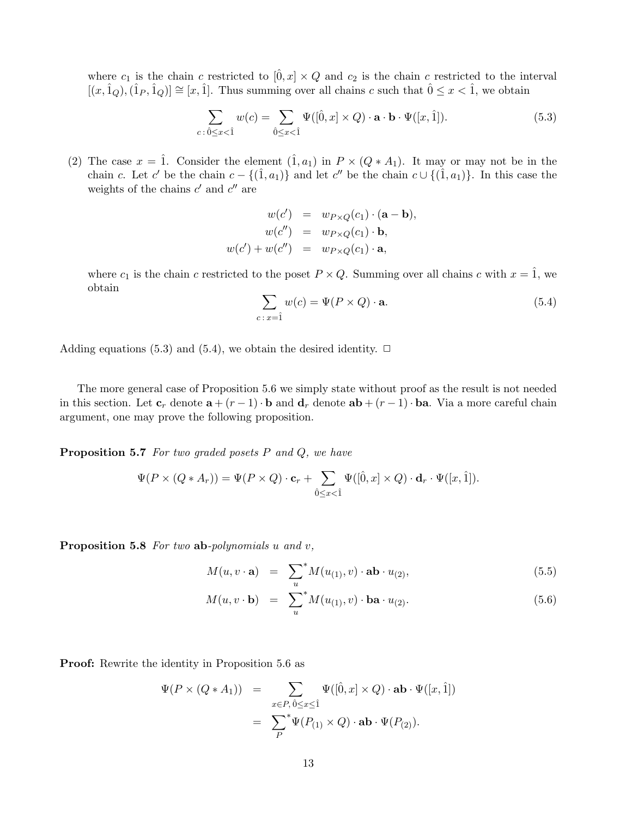where  $c_1$  is the chain c restricted to  $[\hat{0}, x] \times Q$  and  $c_2$  is the chain c restricted to the interval  $[(x, \hat{1}_Q),(\hat{1}_P, \hat{1}_Q)] \cong [x, \hat{1}]$ . Thus summing over all chains c such that  $\hat{0} \leq x < \hat{1}$ , we obtain

$$
\sum_{c \,:\, \hat{0} \leq x < \hat{1}} w(c) = \sum_{\hat{0} \leq x < \hat{1}} \Psi([\hat{0}, x] \times Q) \cdot \mathbf{a} \cdot \mathbf{b} \cdot \Psi([x, \hat{1}]). \tag{5.3}
$$

(2) The case  $x = \hat{1}$ . Consider the element  $(\hat{1}, a_1)$  in  $P \times (Q * A_1)$ . It may or may not be in the chain c. Let c' be the chain  $c - \{(1, a_1)\}\$  and let c'' be the chain  $c \cup \{(\hat{1}, a_1)\}\$ . In this case the weights of the chains  $c'$  and  $c''$  are

$$
w(c') = w_{P \times Q}(c_1) \cdot (\mathbf{a} - \mathbf{b}),
$$
  
\n
$$
w(c'') = w_{P \times Q}(c_1) \cdot \mathbf{b},
$$
  
\n
$$
w(c') + w(c'') = w_{P \times Q}(c_1) \cdot \mathbf{a},
$$

where  $c_1$  is the chain c restricted to the poset  $P \times Q$ . Summing over all chains c with  $x = \hat{1}$ , we obtain

$$
\sum_{c \,:\, x=\hat{1}} w(c) = \Psi(P \times Q) \cdot \mathbf{a}.\tag{5.4}
$$

Adding equations (5.3) and (5.4), we obtain the desired identity.  $\Box$ 

The more general case of Proposition 5.6 we simply state without proof as the result is not needed in this section. Let  $\mathbf{c}_r$  denote  $\mathbf{a} + (r-1) \cdot \mathbf{b}$  and  $\mathbf{d}_r$  denote  $\mathbf{a} \mathbf{b} + (r-1) \cdot \mathbf{b} \mathbf{a}$ . Via a more careful chain argument, one may prove the following proposition.

**Proposition 5.7** For two graded posets  $P$  and  $Q$ , we have

$$
\Psi(P \times (Q * A_r)) = \Psi(P \times Q) \cdot \mathbf{c}_r + \sum_{\hat{0} \le x < \hat{1}} \Psi([\hat{0}, x] \times Q) \cdot \mathbf{d}_r \cdot \Psi([x, \hat{1}]).
$$

Proposition 5.8 For two ab-polynomials u and v,

$$
M(u, v \cdot \mathbf{a}) = \sum_{u}^{*} M(u_{(1)}, v) \cdot \mathbf{a} \mathbf{b} \cdot u_{(2)}, \qquad (5.5)
$$

$$
M(u, v \cdot \mathbf{b}) = \sum_{u}^{*} M(u_{(1)}, v) \cdot \mathbf{b} \mathbf{a} \cdot u_{(2)}.
$$
 (5.6)

Proof: Rewrite the identity in Proposition 5.6 as

$$
\Psi(P \times (Q * A_1)) = \sum_{x \in P, \hat{0} \le x \le \hat{1}} \Psi([\hat{0}, x] \times Q) \cdot \mathbf{ab} \cdot \Psi([x, \hat{1}])
$$

$$
= \sum_{P}^* \Psi(P_{(1)} \times Q) \cdot \mathbf{ab} \cdot \Psi(P_{(2)}).
$$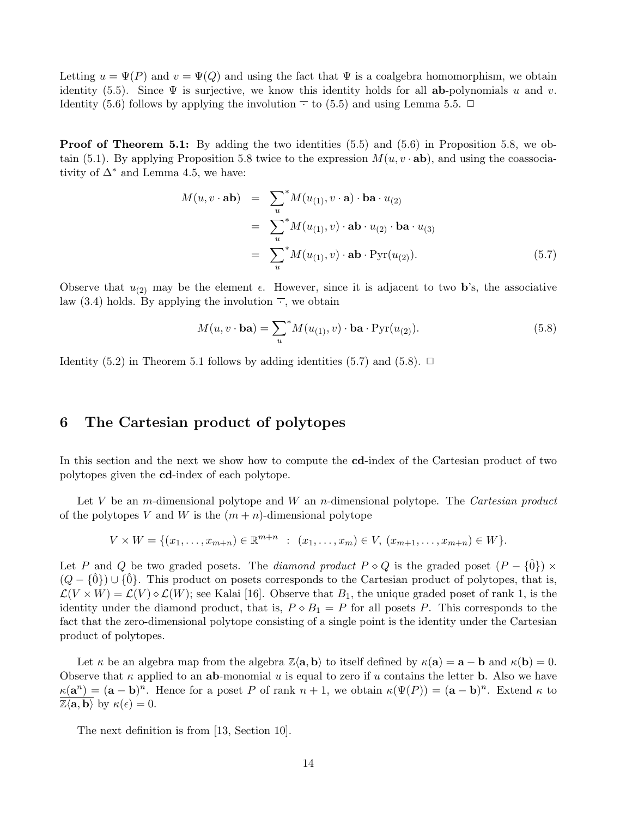Letting  $u = \Psi(P)$  and  $v = \Psi(Q)$  and using the fact that  $\Psi$  is a coalgebra homomorphism, we obtain identity (5.5). Since  $\Psi$  is surjective, we know this identity holds for all ab-polynomials u and v. Identity (5.6) follows by applying the involution  $\overline{\phantom{a}}$  to (5.5) and using Lemma 5.5.  $\Box$ 

Proof of Theorem 5.1: By adding the two identities (5.5) and (5.6) in Proposition 5.8, we obtain (5.1). By applying Proposition 5.8 twice to the expression  $M(u, v \cdot ab)$ , and using the coassociativity of  $\Delta^*$  and Lemma 4.5, we have:

$$
M(u, v \cdot \mathbf{ab}) = \sum_{u}^{*} M(u_{(1)}, v \cdot \mathbf{a}) \cdot \mathbf{ba} \cdot u_{(2)}
$$
  
= 
$$
\sum_{u}^{*} M(u_{(1)}, v) \cdot \mathbf{ab} \cdot u_{(2)} \cdot \mathbf{ba} \cdot u_{(3)}
$$
  
= 
$$
\sum_{u}^{*} M(u_{(1)}, v) \cdot \mathbf{ab} \cdot \text{Pyr}(u_{(2)}).
$$
 (5.7)

Observe that  $u_{(2)}$  may be the element  $\epsilon$ . However, since it is adjacent to two **b**'s, the associative law (3.4) holds. By applying the involution  $\overline{\cdot}$ , we obtain

$$
M(u, v \cdot \mathbf{ba}) = \sum_{u}^{*} M(u_{(1)}, v) \cdot \mathbf{ba} \cdot \text{Pyr}(u_{(2)}).
$$
 (5.8)

Identity (5.2) in Theorem 5.1 follows by adding identities (5.7) and (5.8).  $\Box$ 

# 6 The Cartesian product of polytopes

In this section and the next we show how to compute the **cd**-index of the Cartesian product of two polytopes given the cd-index of each polytope.

Let V be an m-dimensional polytope and W an n-dimensional polytope. The Cartesian product of the polytopes V and W is the  $(m+n)$ -dimensional polytope

$$
V \times W = \{ (x_1, \ldots, x_{m+n}) \in \mathbb{R}^{m+n} : (x_1, \ldots, x_m) \in V, (x_{m+1}, \ldots, x_{m+n}) \in W \}.
$$

Let P and Q be two graded posets. The diamond product  $P \circ Q$  is the graded poset  $(P - \{0\}) \times$  $(Q - \{\hat{0}\}) \cup \{\hat{0}\}.$  This product on posets corresponds to the Cartesian product of polytopes, that is,  $\mathcal{L}(V \times W) = \mathcal{L}(V) \diamond \mathcal{L}(W)$ ; see Kalai [16]. Observe that  $B_1$ , the unique graded poset of rank 1, is the identity under the diamond product, that is,  $P \circ B_1 = P$  for all posets P. This corresponds to the fact that the zero-dimensional polytope consisting of a single point is the identity under the Cartesian product of polytopes.

Let  $\kappa$  be an algebra map from the algebra  $\mathbb{Z}\langle a, b \rangle$  to itself defined by  $\kappa(a) = a - b$  and  $\kappa(b) = 0$ . Observe that  $\kappa$  applied to an ab-monomial u is equal to zero if u contains the letter **b**. Also we have  $\kappa(\mathbf{a}^n) = (\mathbf{a} - \mathbf{b})^n$ . Hence for a poset P of rank  $n + 1$ , we obtain  $\kappa(\Psi(P)) = (\mathbf{a} - \mathbf{b})^n$ . Extend  $\kappa$  to  $\mathbb{Z}\langle \mathbf{a}, \mathbf{b} \rangle$  by  $\kappa(\epsilon) = 0$ .

The next definition is from [13, Section 10].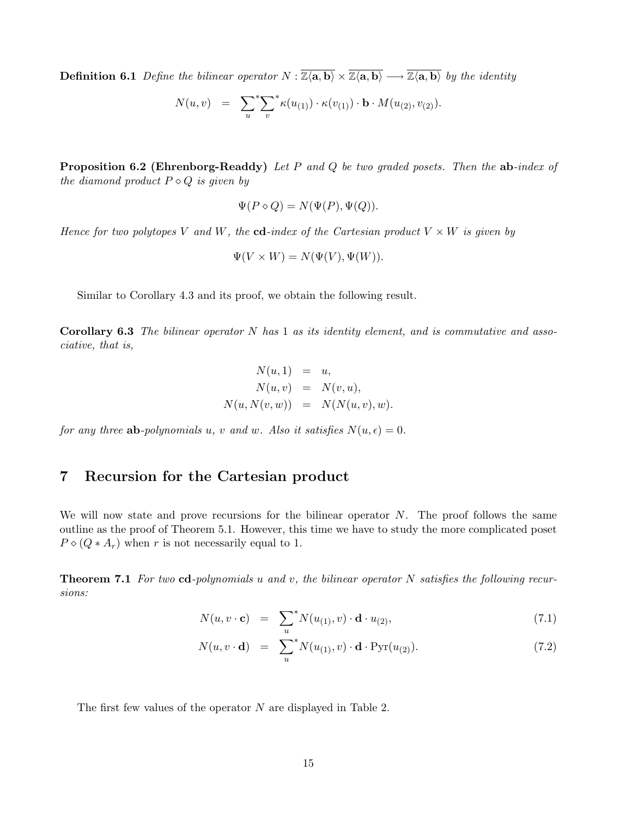**Definition 6.1** Define the bilinear operator  $N : \overline{\mathbb{Z} \langle \mathbf{a}, \mathbf{b} \rangle} \times \overline{\mathbb{Z} \langle \mathbf{a}, \mathbf{b} \rangle} \longrightarrow \overline{\mathbb{Z} \langle \mathbf{a}, \mathbf{b} \rangle}$  by the identity

$$
N(u, v) = \sum_{u}^{*} \sum_{v}^{*} \kappa(u_{(1)}) \cdot \kappa(v_{(1)}) \cdot \mathbf{b} \cdot M(u_{(2)}, v_{(2)}).
$$

**Proposition 6.2 (Ehrenborg-Readdy)** Let P and Q be two graded posets. Then the  $ab$ -index of the diamond product  $P \diamond Q$  is given by

$$
\Psi(P \diamond Q) = N(\Psi(P), \Psi(Q)).
$$

Hence for two polytopes V and W, the cd-index of the Cartesian product  $V \times W$  is given by

$$
\Psi(V \times W) = N(\Psi(V), \Psi(W)).
$$

Similar to Corollary 4.3 and its proof, we obtain the following result.

**Corollary 6.3** The bilinear operator N has 1 as its identity element, and is commutative and associative, that is,

$$
N(u,1) = u,N(u, v) = N(v, u),N(u, N(v, w)) = N(N(u, v), w).
$$

for any three **ab**-polynomials u, v and w. Also it satisfies  $N(u, \epsilon) = 0$ .

# 7 Recursion for the Cartesian product

We will now state and prove recursions for the bilinear operator  $N$ . The proof follows the same outline as the proof of Theorem 5.1. However, this time we have to study the more complicated poset  $P \diamond (Q * A_r)$  when r is not necessarily equal to 1.

**Theorem 7.1** For two cd-polynomials u and v, the bilinear operator N satisfies the following recursions:

$$
N(u, v \cdot \mathbf{c}) = \sum_{u}^{*} N(u_{(1)}, v) \cdot \mathbf{d} \cdot u_{(2)}, \qquad (7.1)
$$

$$
N(u, v \cdot \mathbf{d}) = \sum_{u}^{*} N(u_{(1)}, v) \cdot \mathbf{d} \cdot \text{Pyr}(u_{(2)}).
$$
 (7.2)

The first few values of the operator N are displayed in Table 2.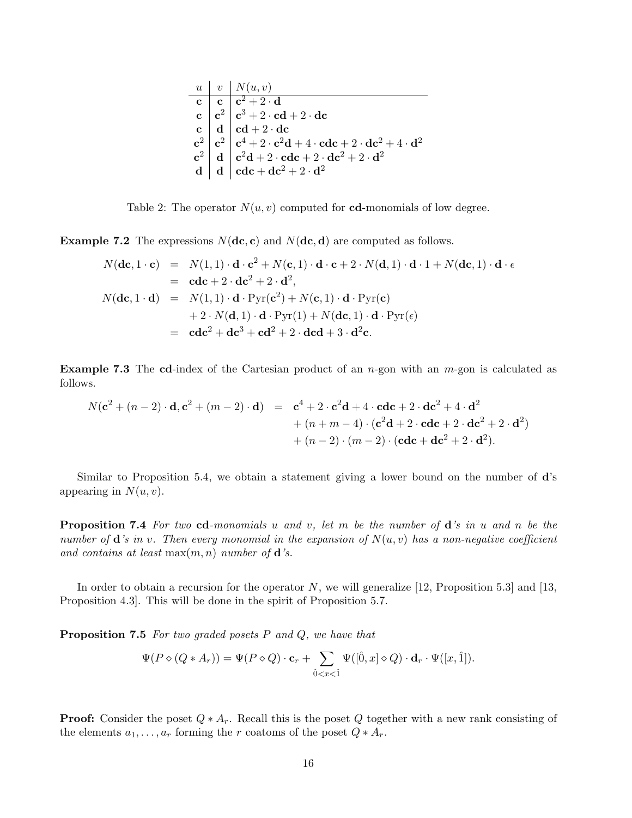|  | $u \mid v \mid N(u,v)$ |
|--|------------------------|
|  |                        |
|  |                        |
|  |                        |
|  |                        |
|  |                        |
|  |                        |

Table 2: The operator  $N(u, v)$  computed for **cd**-monomials of low degree.

**Example 7.2** The expressions  $N(\textbf{dc}, \textbf{c})$  and  $N(\textbf{dc}, \textbf{d})$  are computed as follows.

$$
N(\mathbf{dc}, 1 \cdot \mathbf{c}) = N(1, 1) \cdot \mathbf{d} \cdot \mathbf{c}^2 + N(\mathbf{c}, 1) \cdot \mathbf{d} \cdot \mathbf{c} + 2 \cdot N(\mathbf{d}, 1) \cdot \mathbf{d} \cdot 1 + N(\mathbf{dc}, 1) \cdot \mathbf{d} \cdot \epsilon
$$
  
\n
$$
= \mathbf{cdc} + 2 \cdot \mathbf{dc}^2 + 2 \cdot \mathbf{d}^2,
$$
  
\n
$$
N(\mathbf{dc}, 1 \cdot \mathbf{d}) = N(1, 1) \cdot \mathbf{d} \cdot \text{Pyr}(\mathbf{c}^2) + N(\mathbf{c}, 1) \cdot \mathbf{d} \cdot \text{Pyr}(\mathbf{c})
$$
  
\n
$$
+ 2 \cdot N(\mathbf{d}, 1) \cdot \mathbf{d} \cdot \text{Pyr}(1) + N(\mathbf{dc}, 1) \cdot \mathbf{d} \cdot \text{Pyr}(\epsilon)
$$
  
\n
$$
= \mathbf{cdc}^2 + \mathbf{dc}^3 + \mathbf{cd}^2 + 2 \cdot \mathbf{dcd} + 3 \cdot \mathbf{d}^2 \mathbf{c}.
$$

**Example 7.3** The cd-index of the Cartesian product of an  $n$ -gon with an  $m$ -gon is calculated as follows.

$$
N(c2 + (n - 2) \cdot d, c2 + (m - 2) \cdot d) = c4 + 2 \cdot c2d + 4 \cdot cdc + 2 \cdot dc2 + 4 \cdot d2+ (n + m - 4) \cdot (c2d + 2 \cdot cdc + 2 \cdot dc2 + 2 \cdot d2)+ (n - 2) \cdot (m - 2) \cdot (cdc + dc2 + 2 \cdot d2).
$$

Similar to Proposition 5.4, we obtain a statement giving a lower bound on the number of d's appearing in  $N(u, v)$ .

**Proposition 7.4** For two cd-monomials u and v, let m be the number of  $d$ 's in u and n be the number of  $\mathbf d$ 's in v. Then every monomial in the expansion of  $N(u, v)$  has a non-negative coefficient and contains at least  $\max(m, n)$  number of **d**'s.

In order to obtain a recursion for the operator  $N$ , we will generalize [12, Proposition 5.3] and [13, Proposition 4.3]. This will be done in the spirit of Proposition 5.7.

**Proposition 7.5** For two graded posets  $P$  and  $Q$ , we have that

$$
\Psi(P \diamond (Q * A_r)) = \Psi(P \diamond Q) \cdot \mathbf{c}_r + \sum_{\hat{0} < x < \hat{1}} \Psi([\hat{0}, x] \diamond Q) \cdot \mathbf{d}_r \cdot \Psi([x, \hat{1}]).
$$

**Proof:** Consider the poset  $Q * A_r$ . Recall this is the poset Q together with a new rank consisting of the elements  $a_1, \ldots, a_r$  forming the r coatoms of the poset  $Q * A_r$ .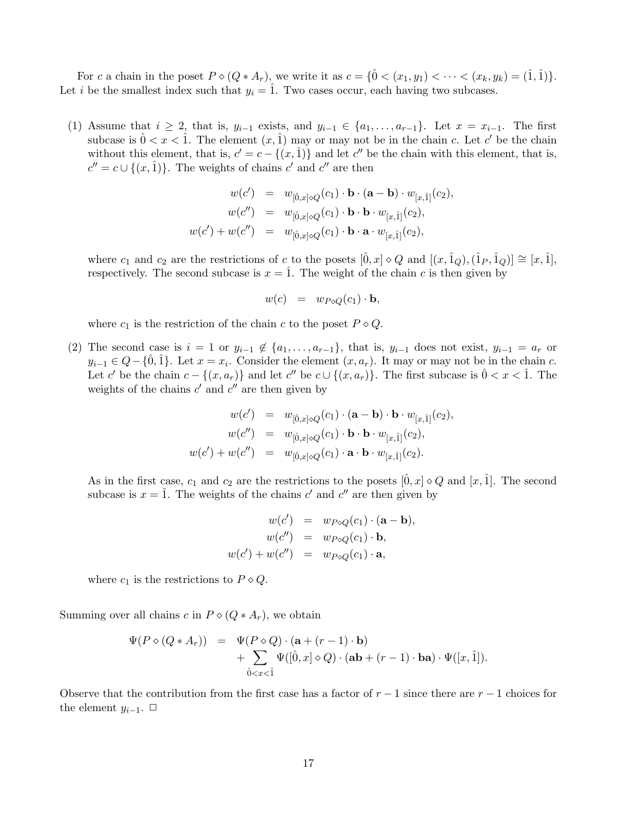For c a chain in the poset  $P \circ (Q * A_r)$ , we write it as  $c = \{\hat{0} < (x_1, y_1) < \cdots < (x_k, y_k) = (\hat{1}, \hat{1})\}.$ Let i be the smallest index such that  $y_i = 1$ . Two cases occur, each having two subcases.

(1) Assume that  $i \geq 2$ , that is,  $y_{i-1}$  exists, and  $y_{i-1} \in \{a_1, \ldots, a_{r-1}\}$ . Let  $x = x_{i-1}$ . The first subcase is  $0 < x < 1$ . The element  $(x, 1)$  may or may not be in the chain c. Let c' be the chain without this element, that is,  $c' = c - \{(x, \hat{1})\}$  and let  $c''$  be the chain with this element, that is,  $c'' = c \cup \{(x, \hat{1})\}.$  The weights of chains  $c'$  and  $c''$  are then

$$
\begin{array}{rcl} w(c') & = & w_{[\hat{0},x]\diamond Q}(c_1)\cdot {\bf b}\cdot ({\bf a}-{\bf b})\cdot w_{[x,\hat{1}]}(c_2), \\ w(c'') & = & w_{[\hat{0},x]\diamond Q}(c_1)\cdot {\bf b}\cdot {\bf b}\cdot w_{[x,\hat{1}]}(c_2), \\ w(c') + w(c'') & = & w_{[\hat{0},x]\diamond Q}(c_1)\cdot {\bf b}\cdot {\bf a}\cdot w_{[x,\hat{1}]}(c_2), \end{array}
$$

where  $c_1$  and  $c_2$  are the restrictions of c to the posets  $[\hat{0}, x] \diamond Q$  and  $[(x, \hat{1}_Q), (\hat{1}_P, \hat{1}_Q)] \cong [x, \hat{1}],$ respectively. The second subcase is  $x = \hat{1}$ . The weight of the chain c is then given by

$$
w(c) = w_{P\diamond Q}(c_1) \cdot \mathbf{b},
$$

where  $c_1$  is the restriction of the chain c to the poset  $P \diamond Q$ .

(2) The second case is  $i = 1$  or  $y_{i-1} \notin \{a_1, \ldots, a_{r-1}\}\$ , that is,  $y_{i-1}$  does not exist,  $y_{i-1} = a_r$  or  $y_{i-1} \in Q - \{\hat{0}, \hat{1}\}\.$  Let  $x = x_i$ . Consider the element  $(x, a_r)$ . It may or may not be in the chain c. Let c' be the chain  $c - \{(x, a_r)\}\$  and let c'' be  $c \cup \{(x, a_r)\}\$ . The first subcase is  $0 < x < 1$ . The weights of the chains  $c'$  and  $c''$  are then given by

$$
w(c') = w_{[\hat{0},x]\diamond Q}(c_1) \cdot (\mathbf{a} - \mathbf{b}) \cdot \mathbf{b} \cdot w_{[x,\hat{1}]}(c_2),
$$
  
\n
$$
w(c'') = w_{[\hat{0},x]\diamond Q}(c_1) \cdot \mathbf{b} \cdot \mathbf{b} \cdot w_{[x,\hat{1}]}(c_2),
$$
  
\n
$$
w(c') + w(c'') = w_{[\hat{0},x]\diamond Q}(c_1) \cdot \mathbf{a} \cdot \mathbf{b} \cdot w_{[x,\hat{1}]}(c_2).
$$

As in the first case,  $c_1$  and  $c_2$  are the restrictions to the posets  $[0, x] \diamond Q$  and  $[x, 1]$ . The second subcase is  $x = \hat{1}$ . The weights of the chains c' and c'' are then given by

$$
w(c') = w_{P\diamond Q}(c_1) \cdot (\mathbf{a} - \mathbf{b}),
$$
  
\n
$$
w(c'') = w_{P\diamond Q}(c_1) \cdot \mathbf{b},
$$
  
\n
$$
w(c') + w(c'') = w_{P\diamond Q}(c_1) \cdot \mathbf{a},
$$

where  $c_1$  is the restrictions to  $P \diamond Q$ .

Summing over all chains c in  $P \circ (Q * A_r)$ , we obtain

$$
\Psi(P \diamond (Q * A_r)) = \Psi(P \diamond Q) \cdot (\mathbf{a} + (r - 1) \cdot \mathbf{b}) \n+ \sum_{\hat{0} < x < \hat{1}} \Psi([\hat{0}, x] \diamond Q) \cdot (\mathbf{a} \mathbf{b} + (r - 1) \cdot \mathbf{b} \mathbf{a}) \cdot \Psi([x, \hat{1}]).
$$

Observe that the contribution from the first case has a factor of  $r - 1$  since there are  $r - 1$  choices for the element  $y_{i-1}$ .  $\Box$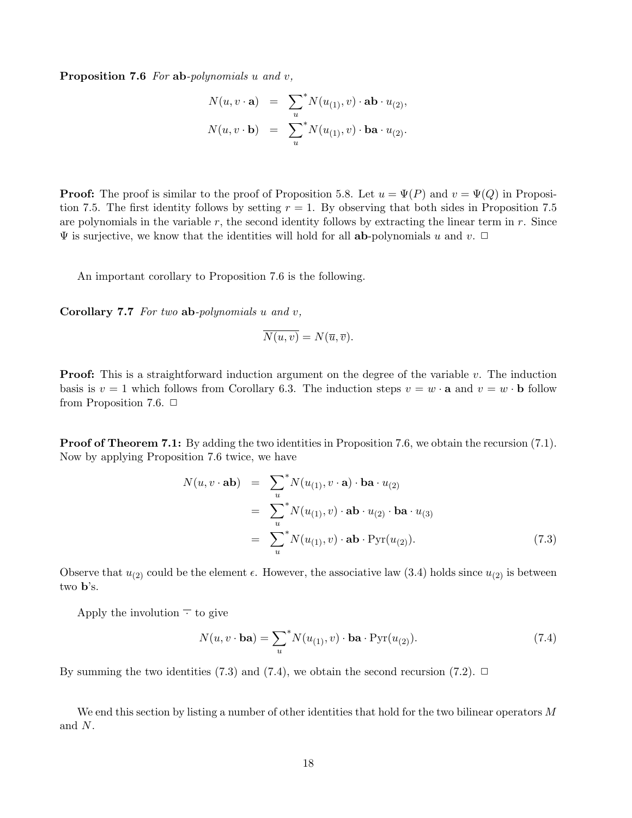Proposition 7.6 For ab-polynomials u and v,

$$
N(u, v \cdot \mathbf{a}) = \sum_{u}^{*} N(u_{(1)}, v) \cdot \mathbf{a} \mathbf{b} \cdot u_{(2)},
$$
  

$$
N(u, v \cdot \mathbf{b}) = \sum_{u}^{*} N(u_{(1)}, v) \cdot \mathbf{b} \mathbf{a} \cdot u_{(2)}.
$$

**Proof:** The proof is similar to the proof of Proposition 5.8. Let  $u = \Psi(P)$  and  $v = \Psi(Q)$  in Proposition 7.5. The first identity follows by setting  $r = 1$ . By observing that both sides in Proposition 7.5 are polynomials in the variable  $r$ , the second identity follows by extracting the linear term in  $r$ . Since  $\Psi$  is surjective, we know that the identities will hold for all **ab**-polynomials u and v.  $\Box$ 

An important corollary to Proposition 7.6 is the following.

Corollary  $7.7$  For two ab-polynomials  $u$  and  $v$ ,

$$
\overline{N(u,v)} = N(\overline{u}, \overline{v}).
$$

**Proof:** This is a straightforward induction argument on the degree of the variable  $v$ . The induction basis is  $v = 1$  which follows from Corollary 6.3. The induction steps  $v = w \cdot \mathbf{a}$  and  $v = w \cdot \mathbf{b}$  follow from Proposition 7.6.  $\Box$ 

**Proof of Theorem 7.1:** By adding the two identities in Proposition 7.6, we obtain the recursion (7.1). Now by applying Proposition 7.6 twice, we have

$$
N(u, v \cdot \mathbf{ab}) = \sum_{u}^{*} N(u_{(1)}, v \cdot \mathbf{a}) \cdot \mathbf{ba} \cdot u_{(2)}
$$
  
= 
$$
\sum_{u}^{*} N(u_{(1)}, v) \cdot \mathbf{ab} \cdot u_{(2)} \cdot \mathbf{ba} \cdot u_{(3)}
$$
  
= 
$$
\sum_{u}^{*} N(u_{(1)}, v) \cdot \mathbf{ab} \cdot \text{Pyr}(u_{(2)}).
$$
 (7.3)

Observe that  $u_{(2)}$  could be the element  $\epsilon$ . However, the associative law (3.4) holds since  $u_{(2)}$  is between two b's.

Apply the involution  $\overline{\cdot}$  to give

$$
N(u, v \cdot \mathbf{ba}) = \sum_{u}^{*} N(u_{(1)}, v) \cdot \mathbf{ba} \cdot \text{Pyr}(u_{(2)}).
$$
 (7.4)

By summing the two identities (7.3) and (7.4), we obtain the second recursion (7.2).  $\Box$ 

We end this section by listing a number of other identities that hold for the two bilinear operators M and N.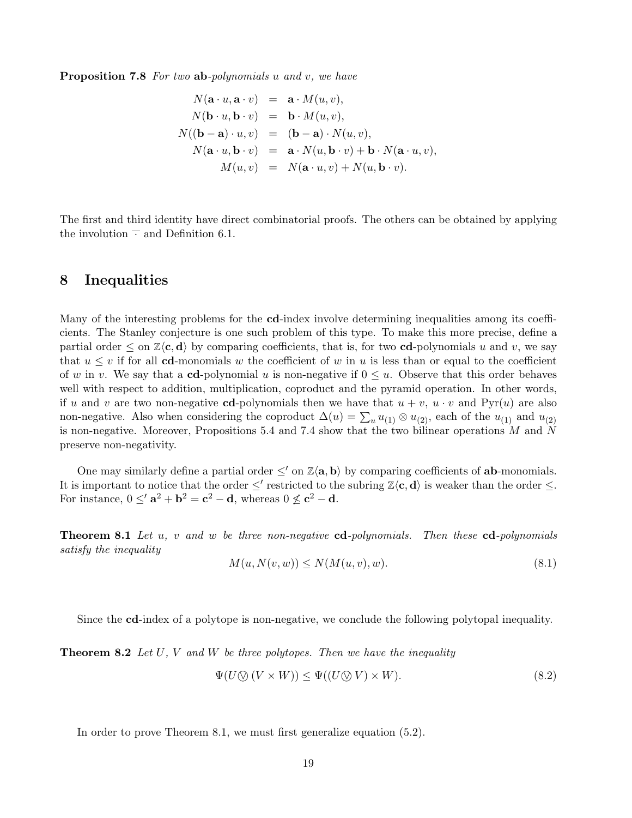Proposition 7.8 For two ab-polynomials u and v, we have

$$
N(\mathbf{a} \cdot u, \mathbf{a} \cdot v) = \mathbf{a} \cdot M(u, v),
$$
  
\n
$$
N(\mathbf{b} \cdot u, \mathbf{b} \cdot v) = \mathbf{b} \cdot M(u, v),
$$
  
\n
$$
N((\mathbf{b} - \mathbf{a}) \cdot u, v) = (\mathbf{b} - \mathbf{a}) \cdot N(u, v),
$$
  
\n
$$
N(\mathbf{a} \cdot u, \mathbf{b} \cdot v) = \mathbf{a} \cdot N(u, \mathbf{b} \cdot v) + \mathbf{b} \cdot N(\mathbf{a} \cdot u, v),
$$
  
\n
$$
M(u, v) = N(\mathbf{a} \cdot u, v) + N(u, \mathbf{b} \cdot v).
$$

The first and third identity have direct combinatorial proofs. The others can be obtained by applying the involution  $\overline{\cdot}$  and Definition 6.1.

#### 8 Inequalities

Many of the interesting problems for the cd-index involve determining inequalities among its coefficients. The Stanley conjecture is one such problem of this type. To make this more precise, define a partial order  $\leq$  on  $\mathbb{Z}\langle \mathbf{c}, \mathbf{d} \rangle$  by comparing coefficients, that is, for two **cd**-polynomials u and v, we say that  $u \leq v$  if for all **cd**-monomials w the coefficient of w in u is less than or equal to the coefficient of w in v. We say that a cd-polynomial u is non-negative if  $0 \leq u$ . Observe that this order behaves well with respect to addition, multiplication, coproduct and the pyramid operation. In other words, if u and v are two non-negative cd-polynomials then we have that  $u + v$ ,  $u \cdot v$  and Pyr(u) are also non-negative. Also when considering the coproduct  $\Delta(u) = \sum_u u_{(1)} \otimes u_{(2)}$ , each of the  $u_{(1)}$  and  $u_{(2)}$ is non-negative. Moreover, Propositions 5.4 and 7.4 show that the two bilinear operations M and N preserve non-negativity.

One may similarly define a partial order  $\leq'$  on  $\mathbb{Z}\langle \mathbf{a}, \mathbf{b} \rangle$  by comparing coefficients of **ab**-monomials. It is important to notice that the order  $\leq'$  restricted to the subring  $\mathbb{Z}\langle \mathbf{c}, \mathbf{d} \rangle$  is weaker than the order  $\leq$ . For instance,  $0 \leq a^2 + b^2 = c^2 - d$ , whereas  $0 \nleq c^2 - d$ .

**Theorem 8.1** Let u, v and w be three non-negative  $cd$ -polynomials. Then these  $cd$ -polynomials satisfy the inequality

$$
M(u, N(v, w)) \le N(M(u, v), w). \tag{8.1}
$$

Since the cd-index of a polytope is non-negative, we conclude the following polytopal inequality.

**Theorem 8.2** Let U, V and W be three polytopes. Then we have the inequality

$$
\Psi(U \otimes (V \times W)) \le \Psi((U \otimes V) \times W). \tag{8.2}
$$

In order to prove Theorem 8.1, we must first generalize equation (5.2).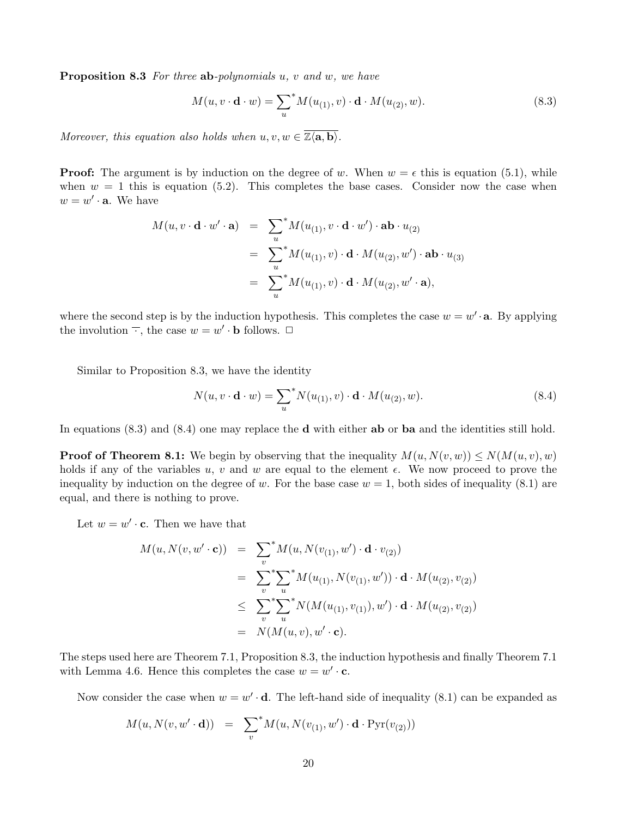**Proposition 8.3** For three ab-polynomials  $u, v$  and  $w, w$  have

$$
M(u, v \cdot \mathbf{d} \cdot w) = \sum_{u}^{*} M(u_{(1)}, v) \cdot \mathbf{d} \cdot M(u_{(2)}, w). \tag{8.3}
$$

Moreover, this equation also holds when  $u, v, w \in \overline{\mathbb{Z}\langle \mathbf{a}, \mathbf{b} \rangle}$ .

**Proof:** The argument is by induction on the degree of w. When  $w = \epsilon$  this is equation (5.1), while when  $w = 1$  this is equation (5.2). This completes the base cases. Consider now the case when  $w = w' \cdot \mathbf{a}$ . We have

$$
M(u, v \cdot \mathbf{d} \cdot w' \cdot \mathbf{a}) = \sum_{u}^{*} M(u_{(1)}, v \cdot \mathbf{d} \cdot w') \cdot \mathbf{a} \mathbf{b} \cdot u_{(2)}
$$
  
= 
$$
\sum_{u}^{*} M(u_{(1)}, v) \cdot \mathbf{d} \cdot M(u_{(2)}, w') \cdot \mathbf{a} \mathbf{b} \cdot u_{(3)}
$$
  
= 
$$
\sum_{u}^{*} M(u_{(1)}, v) \cdot \mathbf{d} \cdot M(u_{(2)}, w' \cdot \mathbf{a}),
$$

where the second step is by the induction hypothesis. This completes the case  $w = w' \cdot a$ . By applying the involution  $\overline{\cdot}$ , the case  $w = w' \cdot \mathbf{b}$  follows.  $\Box$ 

Similar to Proposition 8.3, we have the identity

$$
N(u, v \cdot \mathbf{d} \cdot w) = \sum_{u}^{*} N(u_{(1)}, v) \cdot \mathbf{d} \cdot M(u_{(2)}, w). \tag{8.4}
$$

In equations (8.3) and (8.4) one may replace the **d** with either **ab** or **ba** and the identities still hold.

**Proof of Theorem 8.1:** We begin by observing that the inequality  $M(u, N(v, w)) \le N(M(u, v), w)$ holds if any of the variables u, v and w are equal to the element  $\epsilon$ . We now proceed to prove the inequality by induction on the degree of w. For the base case  $w = 1$ , both sides of inequality (8.1) are equal, and there is nothing to prove.

Let  $w = w' \cdot \mathbf{c}$ . Then we have that

$$
M(u, N(v, w' \cdot \mathbf{c})) = \sum_{v}^{*} M(u, N(v_{(1)}, w') \cdot \mathbf{d} \cdot v_{(2)})
$$
  
\n
$$
= \sum_{v}^{*} \sum_{u}^{*} M(u_{(1)}, N(v_{(1)}, w')) \cdot \mathbf{d} \cdot M(u_{(2)}, v_{(2)})
$$
  
\n
$$
\leq \sum_{v}^{*} \sum_{u}^{*} N(M(u_{(1)}, v_{(1)}), w') \cdot \mathbf{d} \cdot M(u_{(2)}, v_{(2)})
$$
  
\n
$$
= N(M(u, v), w' \cdot \mathbf{c}).
$$

The steps used here are Theorem 7.1, Proposition 8.3, the induction hypothesis and finally Theorem 7.1 with Lemma 4.6. Hence this completes the case  $w = w' \cdot c$ .

Now consider the case when  $w = w' \cdot d$ . The left-hand side of inequality (8.1) can be expanded as

$$
M(u, N(v, w' \cdot d)) = \sum_{v} M(u, N(v_{(1)}, w') \cdot d \cdot \text{Pyr}(v_{(2)}))
$$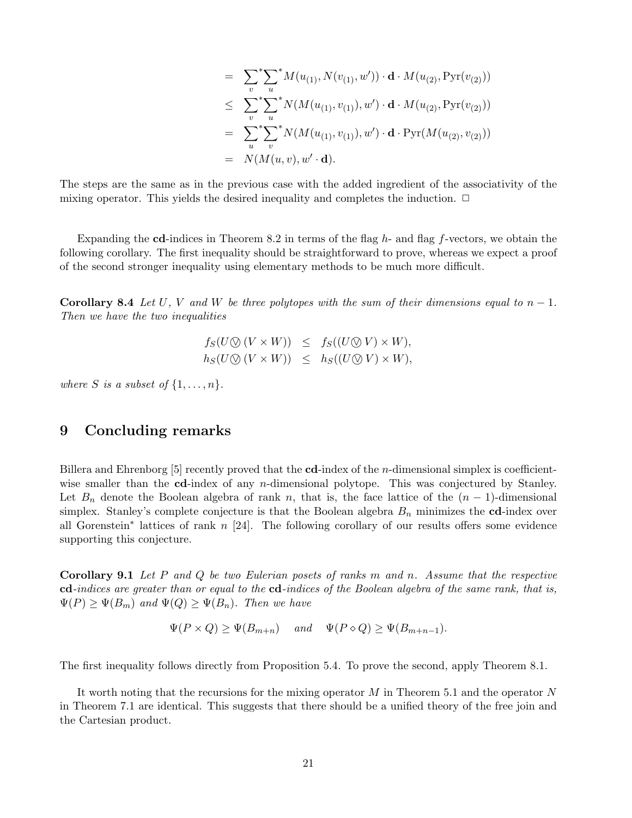$$
= \sum_{v}^{*} \sum_{u}^{*} M(u_{(1)}, N(v_{(1)}, w')) \cdot d \cdot M(u_{(2)}, Pyr(v_{(2)}))
$$
  
\n
$$
\leq \sum_{v}^{*} \sum_{u}^{*} N(M(u_{(1)}, v_{(1)}), w') \cdot d \cdot M(u_{(2)}, Pyr(v_{(2)}))
$$
  
\n
$$
= \sum_{u}^{*} \sum_{v}^{*} N(M(u_{(1)}, v_{(1)}), w') \cdot d \cdot Pyr(M(u_{(2)}, v_{(2)}))
$$
  
\n
$$
= N(M(u, v), w' \cdot d).
$$

The steps are the same as in the previous case with the added ingredient of the associativity of the mixing operator. This yields the desired inequality and completes the induction.  $\Box$ 

Expanding the cd-indices in Theorem 8.2 in terms of the flag  $h$ - and flag f-vectors, we obtain the following corollary. The first inequality should be straightforward to prove, whereas we expect a proof of the second stronger inequality using elementary methods to be much more difficult.

**Corollary 8.4** Let U, V and W be three polytopes with the sum of their dimensions equal to  $n-1$ . Then we have the two inequalities

> $f_S(U \otimes (V \times W)) \leq f_S((U \otimes V) \times W),$  $h_S(U \otimes (V \times W)) \leq h_S((U \otimes V) \times W),$

where S is a subset of  $\{1,\ldots,n\}$ .

# 9 Concluding remarks

Billera and Ehrenborg  $[5]$  recently proved that the cd-index of the *n*-dimensional simplex is coefficientwise smaller than the cd-index of any *n*-dimensional polytope. This was conjectured by Stanley. Let  $B_n$  denote the Boolean algebra of rank n, that is, the face lattice of the  $(n-1)$ -dimensional simplex. Stanley's complete conjecture is that the Boolean algebra  $B_n$  minimizes the cd-index over all Gorenstein<sup>∗</sup> lattices of rank n [24]. The following corollary of our results offers some evidence supporting this conjecture.

**Corollary 9.1** Let P and Q be two Eulerian posets of ranks m and n. Assume that the respective cd-indices are greater than or equal to the cd-indices of the Boolean algebra of the same rank, that is,  $\Psi(P) \geq \Psi(B_m)$  and  $\Psi(Q) \geq \Psi(B_n)$ . Then we have

 $\Psi(P \times Q) \geq \Psi(B_{m+n})$  and  $\Psi(P \diamond Q) \geq \Psi(B_{m+n-1}).$ 

The first inequality follows directly from Proposition 5.4. To prove the second, apply Theorem 8.1.

It worth noting that the recursions for the mixing operator  $M$  in Theorem 5.1 and the operator  $N$ in Theorem 7.1 are identical. This suggests that there should be a unified theory of the free join and the Cartesian product.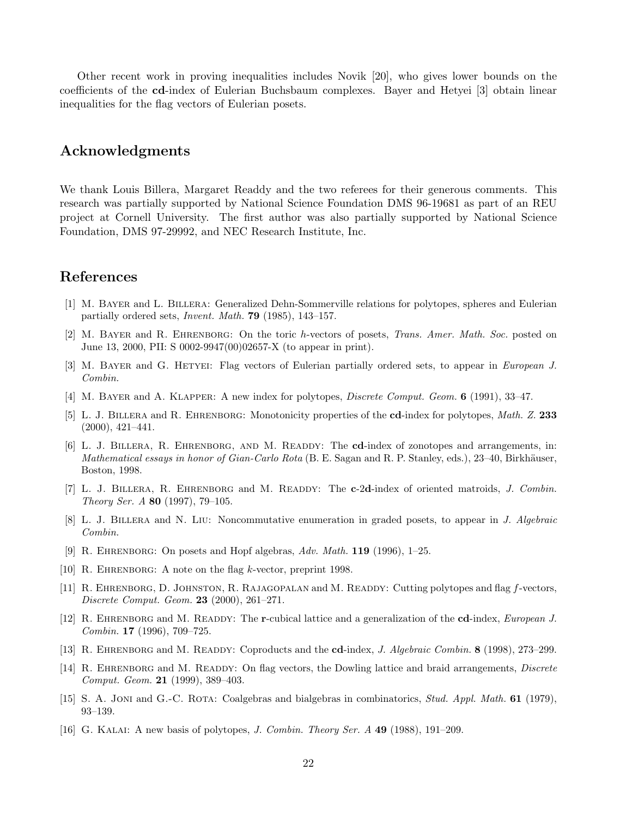Other recent work in proving inequalities includes Novik [20], who gives lower bounds on the coefficients of the cd-index of Eulerian Buchsbaum complexes. Bayer and Hetyei [3] obtain linear inequalities for the flag vectors of Eulerian posets.

# Acknowledgments

We thank Louis Billera, Margaret Readdy and the two referees for their generous comments. This research was partially supported by National Science Foundation DMS 96-19681 as part of an REU project at Cornell University. The first author was also partially supported by National Science Foundation, DMS 97-29992, and NEC Research Institute, Inc.

# References

- [1] M. Bayer and L. Billera: Generalized Dehn-Sommerville relations for polytopes, spheres and Eulerian partially ordered sets, Invent. Math. 79 (1985), 143–157.
- [2] M. Bayer and R. Ehrenborg: On the toric h-vectors of posets, Trans. Amer. Math. Soc. posted on June 13, 2000, PII: S 0002-9947(00)02657-X (to appear in print).
- [3] M. Bayer and G. Hetyei: Flag vectors of Eulerian partially ordered sets, to appear in European J. Combin.
- [4] M. BAYER and A. KLAPPER: A new index for polytopes, *Discrete Comput. Geom.* **6** (1991), 33–47.
- [5] L. J. BILLERA and R. EHRENBORG: Monotonicity properties of the cd-index for polytopes, Math. Z. 233 (2000), 421–441.
- [6] L. J. BILLERA, R. EHRENBORG, AND M. READDY: The cd-index of zonotopes and arrangements, in: Mathematical essays in honor of Gian-Carlo Rota (B. E. Sagan and R. P. Stanley, eds.),  $23-40$ , Birkhäuser, Boston, 1998.
- [7] L. J. BILLERA, R. EHRENBORG and M. READDY: The c-2d-index of oriented matroids, J. Combin. Theory Ser. A 80 (1997), 79–105.
- [8] L. J. Billera and N. Liu: Noncommutative enumeration in graded posets, to appear in J. Algebraic Combin.
- [9] R. Ehrenborg: On posets and Hopf algebras, Adv. Math. 119 (1996), 1–25.
- [10] R. EHRENBORG: A note on the flag k-vector, preprint 1998.
- [11] R. EHRENBORG, D. JOHNSTON, R. RAJAGOPALAN and M. READDY: Cutting polytopes and flag f-vectors, Discrete Comput. Geom. 23 (2000), 261–271.
- [12] R. EHRENBORG and M. READDY: The r-cubical lattice and a generalization of the cd-index, European J. Combin. 17 (1996), 709–725.
- [13] R. EHRENBORG and M. READDY: Coproducts and the cd-index, J. Algebraic Combin. 8 (1998), 273-299.
- [14] R. EHRENBORG and M. READDY: On flag vectors, the Dowling lattice and braid arrangements, *Discrete* Comput. Geom. 21 (1999), 389–403.
- [15] S. A. JONI and G.-C. ROTA: Coalgebras and bialgebras in combinatorics, *Stud. Appl. Math.* 61 (1979), 93–139.
- [16] G. Kalai: A new basis of polytopes, J. Combin. Theory Ser. A 49 (1988), 191–209.